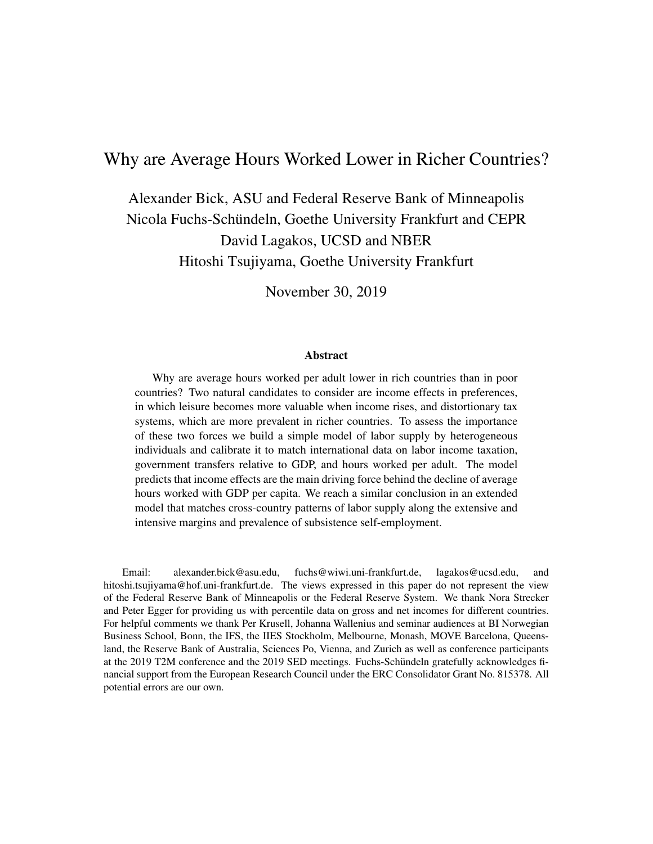# Why are Average Hours Worked Lower in Richer Countries?

Alexander Bick, ASU and Federal Reserve Bank of Minneapolis Nicola Fuchs-Schündeln, Goethe University Frankfurt and CEPR David Lagakos, UCSD and NBER Hitoshi Tsujiyama, Goethe University Frankfurt

November 30, 2019

#### Abstract

Why are average hours worked per adult lower in rich countries than in poor countries? Two natural candidates to consider are income effects in preferences, in which leisure becomes more valuable when income rises, and distortionary tax systems, which are more prevalent in richer countries. To assess the importance of these two forces we build a simple model of labor supply by heterogeneous individuals and calibrate it to match international data on labor income taxation, government transfers relative to GDP, and hours worked per adult. The model predicts that income effects are the main driving force behind the decline of average hours worked with GDP per capita. We reach a similar conclusion in an extended model that matches cross-country patterns of labor supply along the extensive and intensive margins and prevalence of subsistence self-employment.

Email: alexander.bick@asu.edu, fuchs@wiwi.uni-frankfurt.de, lagakos@ucsd.edu, and hitoshi.tsujiyama@hof.uni-frankfurt.de. The views expressed in this paper do not represent the view of the Federal Reserve Bank of Minneapolis or the Federal Reserve System. We thank Nora Strecker and Peter Egger for providing us with percentile data on gross and net incomes for different countries. For helpful comments we thank Per Krusell, Johanna Wallenius and seminar audiences at BI Norwegian Business School, Bonn, the IFS, the IIES Stockholm, Melbourne, Monash, MOVE Barcelona, Queensland, the Reserve Bank of Australia, Sciences Po, Vienna, and Zurich as well as conference participants at the 2019 T2M conference and the 2019 SED meetings. Fuchs-Schündeln gratefully acknowledges financial support from the European Research Council under the ERC Consolidator Grant No. 815378. All potential errors are our own.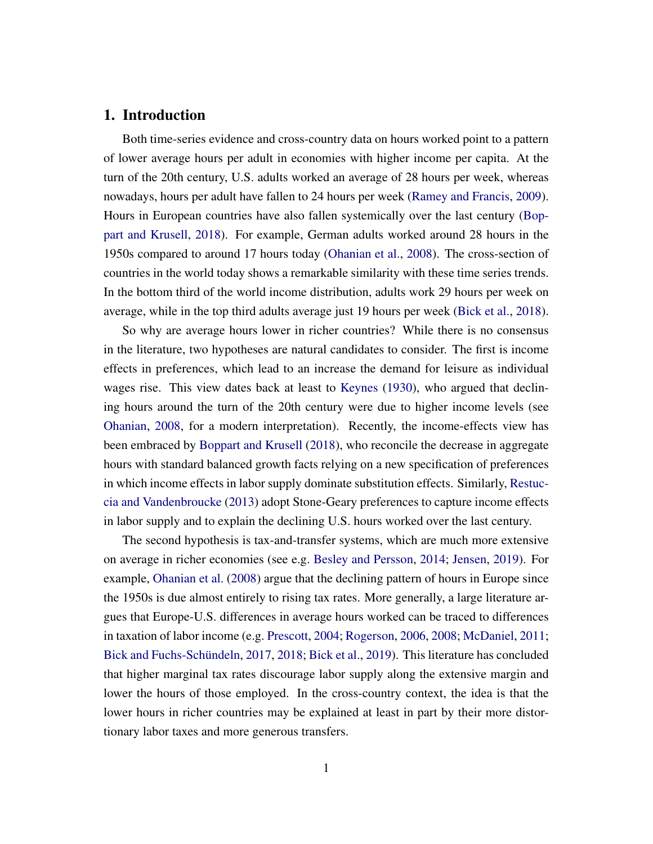## 1. Introduction

Both time-series evidence and cross-country data on hours worked point to a pattern of lower average hours per adult in economies with higher income per capita. At the turn of the 20th century, U.S. adults worked an average of 28 hours per week, whereas nowadays, hours per adult have fallen to 24 hours per week [\(Ramey and Francis,](#page-34-0) [2009\)](#page-34-0). Hours in European countries have also fallen systemically over the last century [\(Bop](#page-32-0)[part and Krusell,](#page-32-0) [2018\)](#page-32-0). For example, German adults worked around 28 hours in the 1950s compared to around 17 hours today [\(Ohanian et al.,](#page-34-1) [2008\)](#page-34-1). The cross-section of countries in the world today shows a remarkable similarity with these time series trends. In the bottom third of the world income distribution, adults work 29 hours per week on average, while in the top third adults average just 19 hours per week [\(Bick et al.,](#page-32-1) [2018\)](#page-32-1).

So why are average hours lower in richer countries? While there is no consensus in the literature, two hypotheses are natural candidates to consider. The first is income effects in preferences, which lead to an increase the demand for leisure as individual wages rise. This view dates back at least to [Keynes](#page-34-2) [\(1930\)](#page-34-2), who argued that declining hours around the turn of the 20th century were due to higher income levels (see [Ohanian,](#page-34-3) [2008,](#page-34-3) for a modern interpretation). Recently, the income-effects view has been embraced by [Boppart and Krusell](#page-32-0) [\(2018\)](#page-32-0), who reconcile the decrease in aggregate hours with standard balanced growth facts relying on a new specification of preferences in which income effects in labor supply dominate substitution effects. Similarly, [Restuc](#page-34-4)[cia and Vandenbroucke](#page-34-4) [\(2013\)](#page-34-4) adopt Stone-Geary preferences to capture income effects in labor supply and to explain the declining U.S. hours worked over the last century.

The second hypothesis is tax-and-transfer systems, which are much more extensive on average in richer economies (see e.g. [Besley and Persson,](#page-32-2) [2014;](#page-32-2) [Jensen,](#page-33-0) [2019\)](#page-33-0). For example, [Ohanian et al.](#page-34-1) [\(2008\)](#page-34-1) argue that the declining pattern of hours in Europe since the 1950s is due almost entirely to rising tax rates. More generally, a large literature argues that Europe-U.S. differences in average hours worked can be traced to differences in taxation of labor income (e.g. [Prescott,](#page-34-5) [2004;](#page-34-5) [Rogerson,](#page-35-0) [2006,](#page-35-0) [2008;](#page-35-1) [McDaniel,](#page-34-6) [2011;](#page-34-6) Bick and Fuchs-Schündeln, [2017,](#page-32-3) [2018;](#page-32-4) [Bick et al.,](#page-32-5) [2019\)](#page-32-5). This literature has concluded that higher marginal tax rates discourage labor supply along the extensive margin and lower the hours of those employed. In the cross-country context, the idea is that the lower hours in richer countries may be explained at least in part by their more distortionary labor taxes and more generous transfers.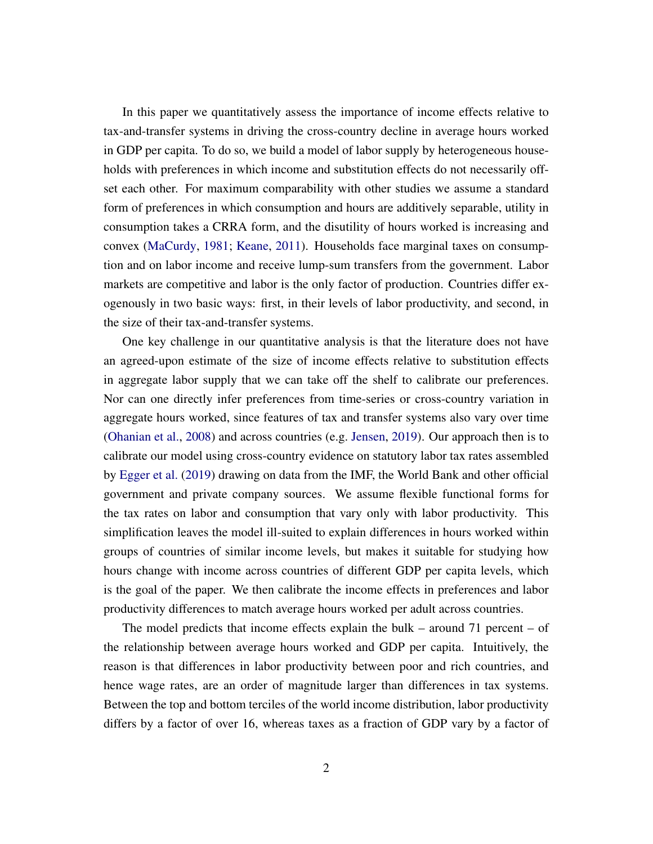In this paper we quantitatively assess the importance of income effects relative to tax-and-transfer systems in driving the cross-country decline in average hours worked in GDP per capita. To do so, we build a model of labor supply by heterogeneous households with preferences in which income and substitution effects do not necessarily offset each other. For maximum comparability with other studies we assume a standard form of preferences in which consumption and hours are additively separable, utility in consumption takes a CRRA form, and the disutility of hours worked is increasing and convex [\(MaCurdy,](#page-34-7) [1981;](#page-34-7) [Keane,](#page-34-8) [2011\)](#page-34-8). Households face marginal taxes on consumption and on labor income and receive lump-sum transfers from the government. Labor markets are competitive and labor is the only factor of production. Countries differ exogenously in two basic ways: first, in their levels of labor productivity, and second, in the size of their tax-and-transfer systems.

One key challenge in our quantitative analysis is that the literature does not have an agreed-upon estimate of the size of income effects relative to substitution effects in aggregate labor supply that we can take off the shelf to calibrate our preferences. Nor can one directly infer preferences from time-series or cross-country variation in aggregate hours worked, since features of tax and transfer systems also vary over time [\(Ohanian et al.,](#page-34-1) [2008\)](#page-34-1) and across countries (e.g. [Jensen,](#page-33-0) [2019\)](#page-33-0). Our approach then is to calibrate our model using cross-country evidence on statutory labor tax rates assembled by [Egger et al.](#page-33-1) [\(2019\)](#page-33-1) drawing on data from the IMF, the World Bank and other official government and private company sources. We assume flexible functional forms for the tax rates on labor and consumption that vary only with labor productivity. This simplification leaves the model ill-suited to explain differences in hours worked within groups of countries of similar income levels, but makes it suitable for studying how hours change with income across countries of different GDP per capita levels, which is the goal of the paper. We then calibrate the income effects in preferences and labor productivity differences to match average hours worked per adult across countries.

The model predicts that income effects explain the bulk – around 71 percent – of the relationship between average hours worked and GDP per capita. Intuitively, the reason is that differences in labor productivity between poor and rich countries, and hence wage rates, are an order of magnitude larger than differences in tax systems. Between the top and bottom terciles of the world income distribution, labor productivity differs by a factor of over 16, whereas taxes as a fraction of GDP vary by a factor of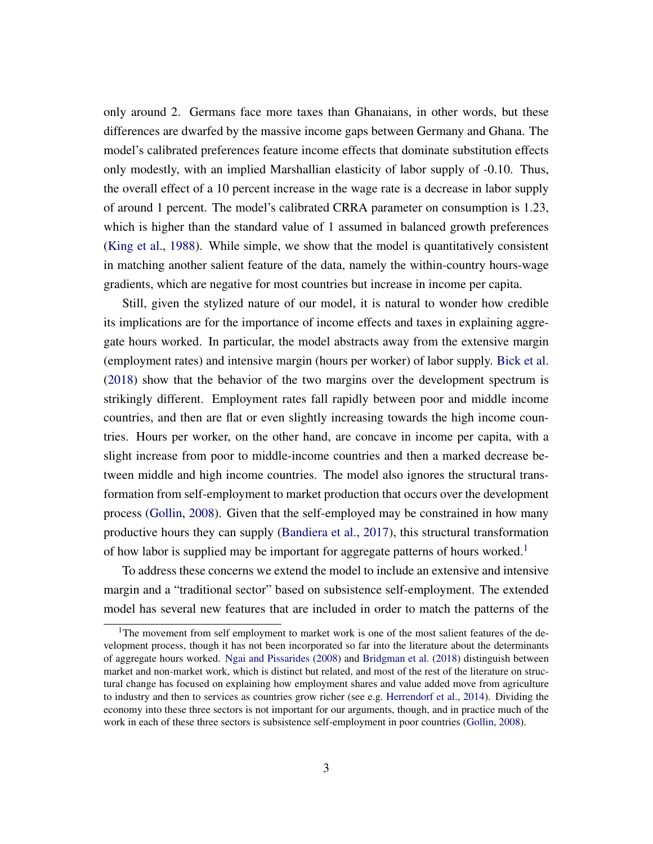only around 2. Germans face more taxes than Ghanaians, in other words, but these differences are dwarfed by the massive income gaps between Germany and Ghana. The model's calibrated preferences feature income effects that dominate substitution effects only modestly, with an implied Marshallian elasticity of labor supply of -0.10. Thus, the overall effect of a 10 percent increase in the wage rate is a decrease in labor supply of around 1 percent. The model's calibrated CRRA parameter on consumption is 1.23, which is higher than the standard value of 1 assumed in balanced growth preferences [\(King et al.,](#page-34-9) [1988\)](#page-34-9). While simple, we show that the model is quantitatively consistent in matching another salient feature of the data, namely the within-country hours-wage gradients, which are negative for most countries but increase in income per capita.

Still, given the stylized nature of our model, it is natural to wonder how credible its implications are for the importance of income effects and taxes in explaining aggregate hours worked. In particular, the model abstracts away from the extensive margin (employment rates) and intensive margin (hours per worker) of labor supply. [Bick et al.](#page-32-1) [\(2018\)](#page-32-1) show that the behavior of the two margins over the development spectrum is strikingly different. Employment rates fall rapidly between poor and middle income countries, and then are flat or even slightly increasing towards the high income countries. Hours per worker, on the other hand, are concave in income per capita, with a slight increase from poor to middle-income countries and then a marked decrease between middle and high income countries. The model also ignores the structural transformation from self-employment to market production that occurs over the development process [\(Gollin,](#page-33-2) [2008\)](#page-33-2). Given that the self-employed may be constrained in how many productive hours they can supply [\(Bandiera et al.,](#page-32-6) [2017\)](#page-32-6), this structural transformation of how labor is supplied may be important for aggregate patterns of hours worked.<sup>[1](#page-3-0)</sup>

To address these concerns we extend the model to include an extensive and intensive margin and a "traditional sector" based on subsistence self-employment. The extended model has several new features that are included in order to match the patterns of the

<span id="page-3-0"></span><sup>&</sup>lt;sup>1</sup>The movement from self employment to market work is one of the most salient features of the development process, though it has not been incorporated so far into the literature about the determinants of aggregate hours worked. [Ngai and Pissarides](#page-34-10) [\(2008\)](#page-34-10) and [Bridgman et al.](#page-33-3) [\(2018\)](#page-33-3) distinguish between market and non-market work, which is distinct but related, and most of the rest of the literature on structural change has focused on explaining how employment shares and value added move from agriculture to industry and then to services as countries grow richer (see e.g. [Herrendorf et al.,](#page-33-4) [2014\)](#page-33-4). Dividing the economy into these three sectors is not important for our arguments, though, and in practice much of the work in each of these three sectors is subsistence self-employment in poor countries [\(Gollin,](#page-33-2) [2008\)](#page-33-2).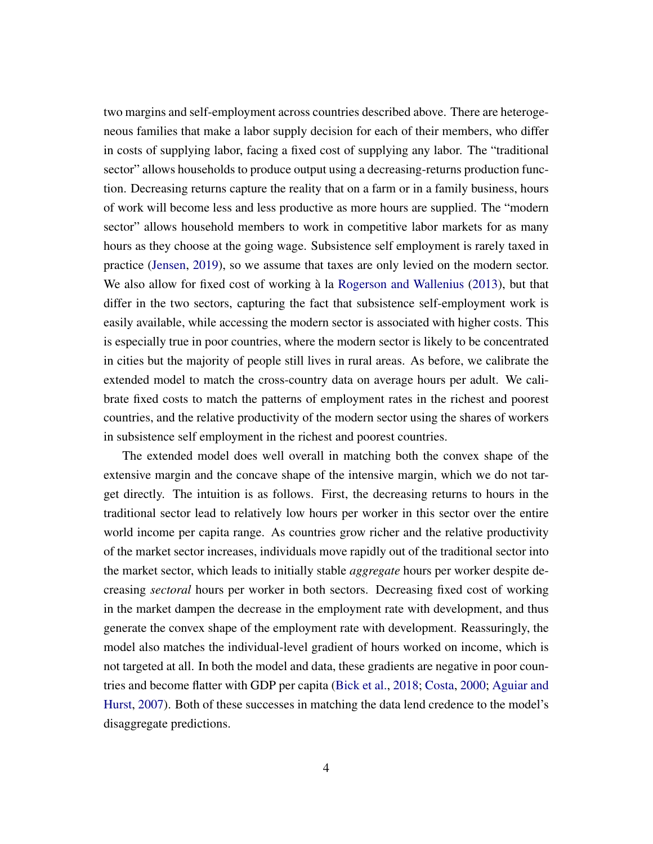two margins and self-employment across countries described above. There are heterogeneous families that make a labor supply decision for each of their members, who differ in costs of supplying labor, facing a fixed cost of supplying any labor. The "traditional sector" allows households to produce output using a decreasing-returns production function. Decreasing returns capture the reality that on a farm or in a family business, hours of work will become less and less productive as more hours are supplied. The "modern sector" allows household members to work in competitive labor markets for as many hours as they choose at the going wage. Subsistence self employment is rarely taxed in practice [\(Jensen,](#page-33-0) [2019\)](#page-33-0), so we assume that taxes are only levied on the modern sector. We also allow for fixed cost of working  $\hat{a}$  la [Rogerson and Wallenius](#page-35-2) [\(2013\)](#page-35-2), but that differ in the two sectors, capturing the fact that subsistence self-employment work is easily available, while accessing the modern sector is associated with higher costs. This is especially true in poor countries, where the modern sector is likely to be concentrated in cities but the majority of people still lives in rural areas. As before, we calibrate the extended model to match the cross-country data on average hours per adult. We calibrate fixed costs to match the patterns of employment rates in the richest and poorest countries, and the relative productivity of the modern sector using the shares of workers in subsistence self employment in the richest and poorest countries.

The extended model does well overall in matching both the convex shape of the extensive margin and the concave shape of the intensive margin, which we do not target directly. The intuition is as follows. First, the decreasing returns to hours in the traditional sector lead to relatively low hours per worker in this sector over the entire world income per capita range. As countries grow richer and the relative productivity of the market sector increases, individuals move rapidly out of the traditional sector into the market sector, which leads to initially stable *aggregate* hours per worker despite decreasing *sectoral* hours per worker in both sectors. Decreasing fixed cost of working in the market dampen the decrease in the employment rate with development, and thus generate the convex shape of the employment rate with development. Reassuringly, the model also matches the individual-level gradient of hours worked on income, which is not targeted at all. In both the model and data, these gradients are negative in poor countries and become flatter with GDP per capita [\(Bick et al.,](#page-32-1) [2018;](#page-32-1) [Costa,](#page-33-5) [2000;](#page-33-5) [Aguiar and](#page-32-7) [Hurst,](#page-32-7) [2007\)](#page-32-7). Both of these successes in matching the data lend credence to the model's disaggregate predictions.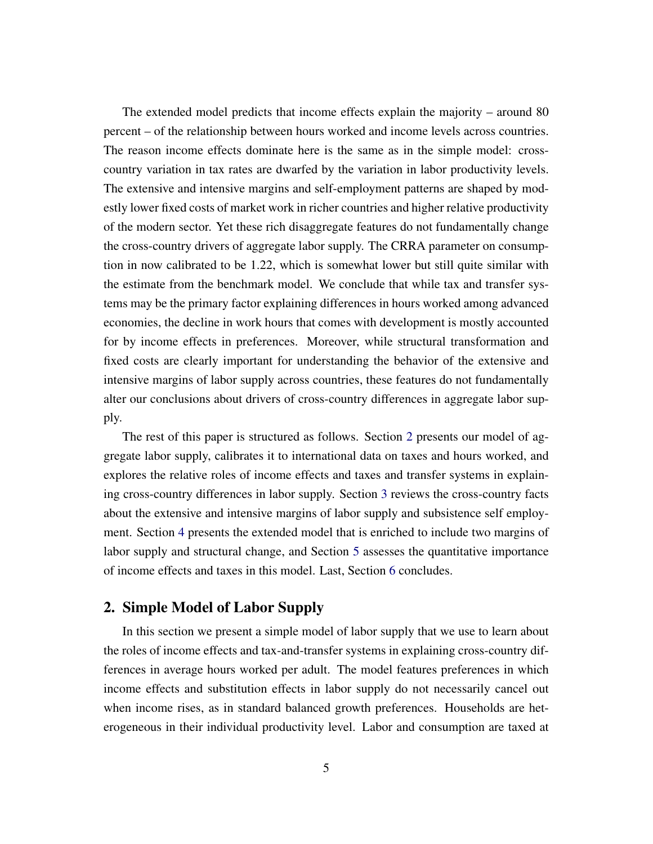The extended model predicts that income effects explain the majority – around 80 percent – of the relationship between hours worked and income levels across countries. The reason income effects dominate here is the same as in the simple model: crosscountry variation in tax rates are dwarfed by the variation in labor productivity levels. The extensive and intensive margins and self-employment patterns are shaped by modestly lower fixed costs of market work in richer countries and higher relative productivity of the modern sector. Yet these rich disaggregate features do not fundamentally change the cross-country drivers of aggregate labor supply. The CRRA parameter on consumption in now calibrated to be 1.22, which is somewhat lower but still quite similar with the estimate from the benchmark model. We conclude that while tax and transfer systems may be the primary factor explaining differences in hours worked among advanced economies, the decline in work hours that comes with development is mostly accounted for by income effects in preferences. Moreover, while structural transformation and fixed costs are clearly important for understanding the behavior of the extensive and intensive margins of labor supply across countries, these features do not fundamentally alter our conclusions about drivers of cross-country differences in aggregate labor supply.

The rest of this paper is structured as follows. Section [2](#page-5-0) presents our model of aggregate labor supply, calibrates it to international data on taxes and hours worked, and explores the relative roles of income effects and taxes and transfer systems in explaining cross-country differences in labor supply. Section [3](#page-14-0) reviews the cross-country facts about the extensive and intensive margins of labor supply and subsistence self employment. Section [4](#page-16-0) presents the extended model that is enriched to include two margins of labor supply and structural change, and Section [5](#page-25-0) assesses the quantitative importance of income effects and taxes in this model. Last, Section [6](#page-30-0) concludes.

## <span id="page-5-0"></span>2. Simple Model of Labor Supply

In this section we present a simple model of labor supply that we use to learn about the roles of income effects and tax-and-transfer systems in explaining cross-country differences in average hours worked per adult. The model features preferences in which income effects and substitution effects in labor supply do not necessarily cancel out when income rises, as in standard balanced growth preferences. Households are heterogeneous in their individual productivity level. Labor and consumption are taxed at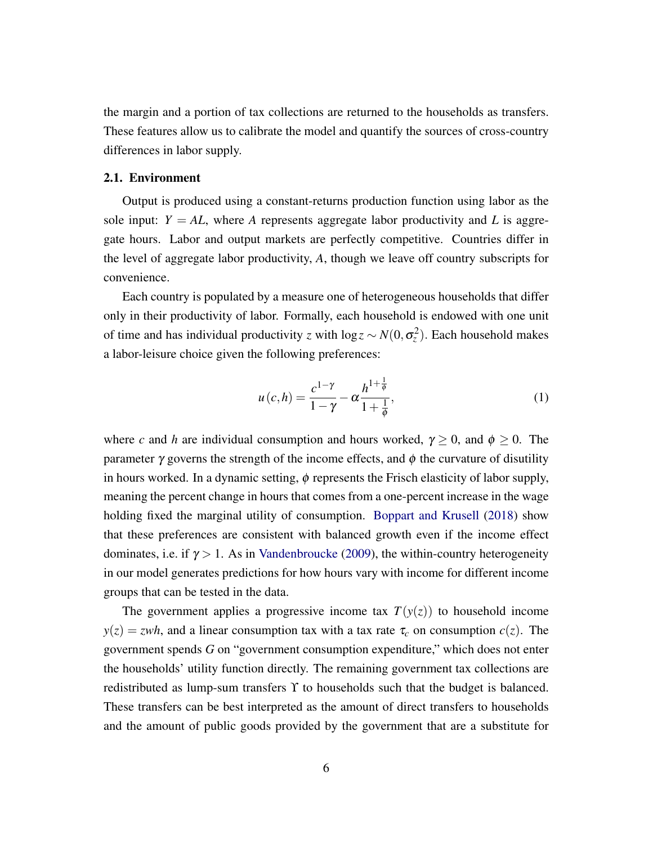the margin and a portion of tax collections are returned to the households as transfers. These features allow us to calibrate the model and quantify the sources of cross-country differences in labor supply.

## 2.1. Environment

Output is produced using a constant-returns production function using labor as the sole input:  $Y = AL$ , where *A* represents aggregate labor productivity and *L* is aggregate hours. Labor and output markets are perfectly competitive. Countries differ in the level of aggregate labor productivity, *A*, though we leave off country subscripts for convenience.

Each country is populated by a measure one of heterogeneous households that differ only in their productivity of labor. Formally, each household is endowed with one unit of time and has individual productivity *z* with  $\log z \sim N(0, \sigma_z^2)$ . Each household makes a labor-leisure choice given the following preferences:

$$
u(c,h) = \frac{c^{1-\gamma}}{1-\gamma} - \alpha \frac{h^{1+\frac{1}{\phi}}}{1+\frac{1}{\phi}},
$$
\n(1)

where *c* and *h* are individual consumption and hours worked,  $\gamma \ge 0$ , and  $\phi \ge 0$ . The parameter γ governs the strength of the income effects, and  $φ$  the curvature of disutility in hours worked. In a dynamic setting,  $\phi$  represents the Frisch elasticity of labor supply, meaning the percent change in hours that comes from a one-percent increase in the wage holding fixed the marginal utility of consumption. [Boppart and Krusell](#page-32-0) [\(2018\)](#page-32-0) show that these preferences are consistent with balanced growth even if the income effect dominates, i.e. if  $\gamma > 1$ . As in [Vandenbroucke](#page-35-3) [\(2009\)](#page-35-3), the within-country heterogeneity in our model generates predictions for how hours vary with income for different income groups that can be tested in the data.

The government applies a progressive income tax  $T(y(z))$  to household income  $y(z) = zwh$ , and a linear consumption tax with a tax rate  $\tau_c$  on consumption  $c(z)$ . The government spends *G* on "government consumption expenditure," which does not enter the households' utility function directly. The remaining government tax collections are redistributed as lump-sum transfers  $\Upsilon$  to households such that the budget is balanced. These transfers can be best interpreted as the amount of direct transfers to households and the amount of public goods provided by the government that are a substitute for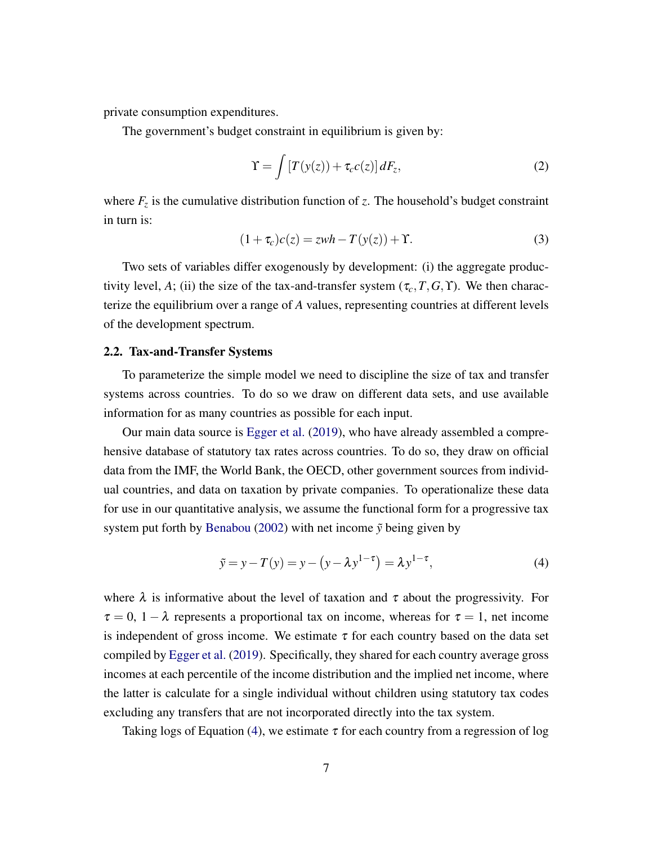private consumption expenditures.

The government's budget constraint in equilibrium is given by:

$$
\Upsilon = \int \left[ T(y(z)) + \tau_c c(z) \right] dF_z,\tag{2}
$$

where  $F_z$  is the cumulative distribution function of *z*. The household's budget constraint in turn is:

$$
(1 + \tau_c)c(z) = zwh - T(y(z)) + \Upsilon.
$$
\n(3)

Two sets of variables differ exogenously by development: (i) the aggregate productivity level, *A*; (ii) the size of the tax-and-transfer system  $(\tau_c, T, G, \Upsilon)$ . We then characterize the equilibrium over a range of *A* values, representing countries at different levels of the development spectrum.

#### <span id="page-7-1"></span>2.2. Tax-and-Transfer Systems

To parameterize the simple model we need to discipline the size of tax and transfer systems across countries. To do so we draw on different data sets, and use available information for as many countries as possible for each input.

Our main data source is [Egger et al.](#page-33-1) [\(2019\)](#page-33-1), who have already assembled a comprehensive database of statutory tax rates across countries. To do so, they draw on official data from the IMF, the World Bank, the OECD, other government sources from individual countries, and data on taxation by private companies. To operationalize these data for use in our quantitative analysis, we assume the functional form for a progressive tax system put forth by [Benabou](#page-32-8) [\(2002\)](#page-32-8) with net income  $\tilde{y}$  being given by

<span id="page-7-0"></span>
$$
\tilde{y} = y - T(y) = y - (y - \lambda y^{1-\tau}) = \lambda y^{1-\tau},
$$
\n(4)

where  $\lambda$  is informative about the level of taxation and  $\tau$  about the progressivity. For  $\tau = 0$ ,  $1 - \lambda$  represents a proportional tax on income, whereas for  $\tau = 1$ , net income is independent of gross income. We estimate  $\tau$  for each country based on the data set compiled by [Egger et al.](#page-33-1) [\(2019\)](#page-33-1). Specifically, they shared for each country average gross incomes at each percentile of the income distribution and the implied net income, where the latter is calculate for a single individual without children using statutory tax codes excluding any transfers that are not incorporated directly into the tax system.

Taking logs of Equation [\(4\)](#page-7-0), we estimate  $\tau$  for each country from a regression of log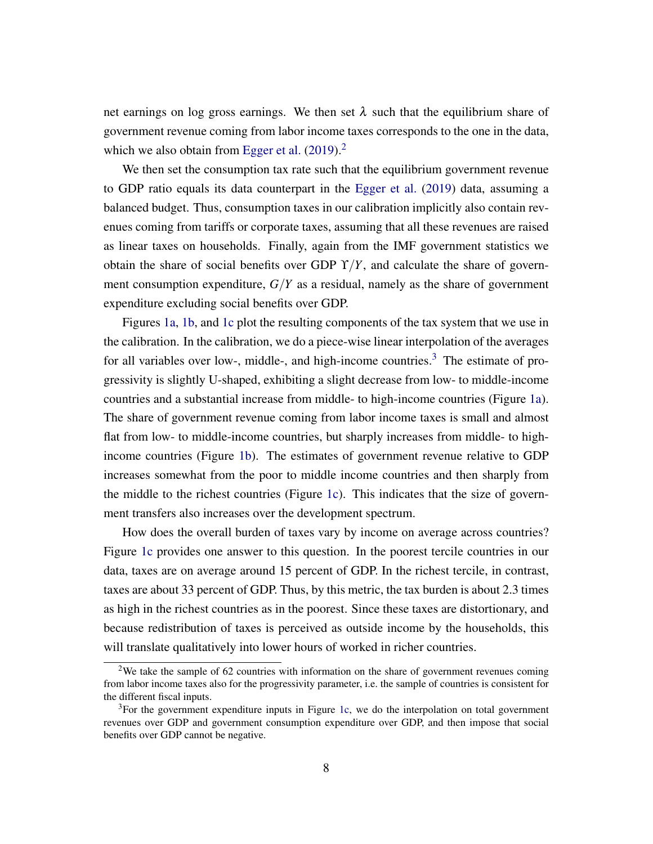net earnings on log gross earnings. We then set  $\lambda$  such that the equilibrium share of government revenue coming from labor income taxes corresponds to the one in the data, which we also obtain from [Egger et al.](#page-33-1)  $(2019)^2$  $(2019)^2$  $(2019)^2$ .

We then set the consumption tax rate such that the equilibrium government revenue to GDP ratio equals its data counterpart in the [Egger et al.](#page-33-1) [\(2019\)](#page-33-1) data, assuming a balanced budget. Thus, consumption taxes in our calibration implicitly also contain revenues coming from tariffs or corporate taxes, assuming that all these revenues are raised as linear taxes on households. Finally, again from the IMF government statistics we obtain the share of social benefits over GDP  $\Upsilon/Y$ , and calculate the share of government consumption expenditure,  $G/Y$  as a residual, namely as the share of government expenditure excluding social benefits over GDP.

Figures [1a,](#page-9-0) [1b,](#page-9-0) and [1c](#page-9-0) plot the resulting components of the tax system that we use in the calibration. In the calibration, we do a piece-wise linear interpolation of the averages for all variables over low-, middle-, and high-income countries.<sup>[3](#page-8-1)</sup> The estimate of progressivity is slightly U-shaped, exhibiting a slight decrease from low- to middle-income countries and a substantial increase from middle- to high-income countries (Figure [1a\)](#page-9-0). The share of government revenue coming from labor income taxes is small and almost flat from low- to middle-income countries, but sharply increases from middle- to highincome countries (Figure [1b\)](#page-9-0). The estimates of government revenue relative to GDP increases somewhat from the poor to middle income countries and then sharply from the middle to the richest countries (Figure [1c\)](#page-9-0). This indicates that the size of government transfers also increases over the development spectrum.

How does the overall burden of taxes vary by income on average across countries? Figure [1c](#page-9-0) provides one answer to this question. In the poorest tercile countries in our data, taxes are on average around 15 percent of GDP. In the richest tercile, in contrast, taxes are about 33 percent of GDP. Thus, by this metric, the tax burden is about 2.3 times as high in the richest countries as in the poorest. Since these taxes are distortionary, and because redistribution of taxes is perceived as outside income by the households, this will translate qualitatively into lower hours of worked in richer countries.

<span id="page-8-0"></span><sup>&</sup>lt;sup>2</sup>We take the sample of 62 countries with information on the share of government revenues coming from labor income taxes also for the progressivity parameter, i.e. the sample of countries is consistent for the different fiscal inputs.

<span id="page-8-1"></span> $3$ For the government expenditure inputs in Figure [1c,](#page-9-0) we do the interpolation on total government revenues over GDP and government consumption expenditure over GDP, and then impose that social benefits over GDP cannot be negative.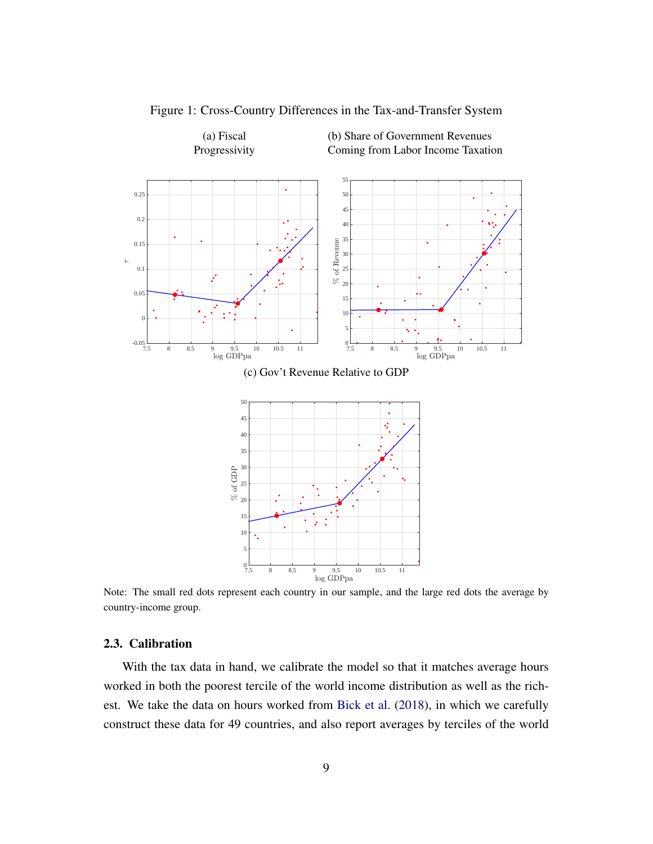<span id="page-9-0"></span>

Figure 1: Cross-Country Differences in the Tax-and-Transfer System

Note: The small red dots represent each country in our sample, and the large red dots the average by country-income group.

### 2.3. Calibration

With the tax data in hand, we calibrate the model so that it matches average hours worked in both the poorest tercile of the world income distribution as well as the richest. We take the data on hours worked from [Bick et al.](#page-32-1) [\(2018\)](#page-32-1), in which we carefully construct these data for 49 countries, and also report averages by terciles of the world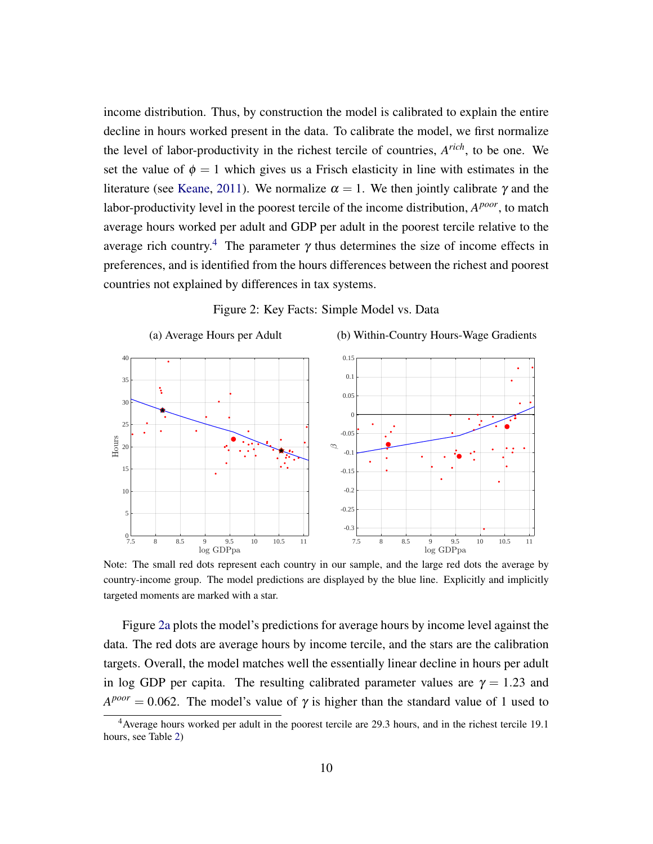income distribution. Thus, by construction the model is calibrated to explain the entire decline in hours worked present in the data. To calibrate the model, we first normalize the level of labor-productivity in the richest tercile of countries, *A rich*, to be one. We set the value of  $\phi = 1$  which gives us a Frisch elasticity in line with estimates in the literature (see [Keane,](#page-34-8) [2011\)](#page-34-8). We normalize  $\alpha = 1$ . We then jointly calibrate  $\gamma$  and the labor-productivity level in the poorest tercile of the income distribution, *A poor*, to match average hours worked per adult and GDP per adult in the poorest tercile relative to the average rich country.<sup>[4](#page-10-0)</sup> The parameter  $\gamma$  thus determines the size of income effects in preferences, and is identified from the hours differences between the richest and poorest countries not explained by differences in tax systems.

<span id="page-10-1"></span>

| Figure 2: Key Facts: Simple Model vs. Data |  |  |  |
|--------------------------------------------|--|--|--|
|                                            |  |  |  |

Note: The small red dots represent each country in our sample, and the large red dots the average by country-income group. The model predictions are displayed by the blue line. Explicitly and implicitly targeted moments are marked with a star.

Figure [2a](#page-10-1) plots the model's predictions for average hours by income level against the data. The red dots are average hours by income tercile, and the stars are the calibration targets. Overall, the model matches well the essentially linear decline in hours per adult in log GDP per capita. The resulting calibrated parameter values are  $\gamma = 1.23$  and  $A^{poor} = 0.062$ . The model's value of  $\gamma$  is higher than the standard value of 1 used to

<span id="page-10-0"></span><sup>&</sup>lt;sup>4</sup> Average hours worked per adult in the poorest tercile are 29.3 hours, and in the richest tercile 19.1 hours, see Table [2\)](#page-15-0)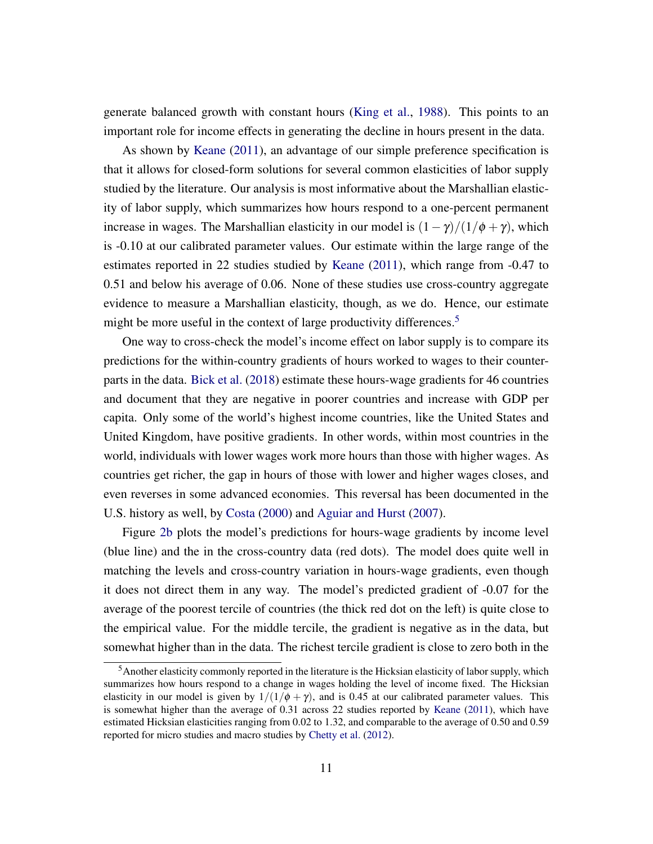generate balanced growth with constant hours [\(King et al.,](#page-34-9) [1988\)](#page-34-9). This points to an important role for income effects in generating the decline in hours present in the data.

As shown by [Keane](#page-34-8) [\(2011\)](#page-34-8), an advantage of our simple preference specification is that it allows for closed-form solutions for several common elasticities of labor supply studied by the literature. Our analysis is most informative about the Marshallian elasticity of labor supply, which summarizes how hours respond to a one-percent permanent increase in wages. The Marshallian elasticity in our model is  $(1 - \gamma)/(1/\phi + \gamma)$ , which is -0.10 at our calibrated parameter values. Our estimate within the large range of the estimates reported in 22 studies studied by [Keane](#page-34-8) [\(2011\)](#page-34-8), which range from -0.47 to 0.51 and below his average of 0.06. None of these studies use cross-country aggregate evidence to measure a Marshallian elasticity, though, as we do. Hence, our estimate might be more useful in the context of large productivity differences.<sup>[5](#page-11-0)</sup>

One way to cross-check the model's income effect on labor supply is to compare its predictions for the within-country gradients of hours worked to wages to their counterparts in the data. [Bick et al.](#page-32-1) [\(2018\)](#page-32-1) estimate these hours-wage gradients for 46 countries and document that they are negative in poorer countries and increase with GDP per capita. Only some of the world's highest income countries, like the United States and United Kingdom, have positive gradients. In other words, within most countries in the world, individuals with lower wages work more hours than those with higher wages. As countries get richer, the gap in hours of those with lower and higher wages closes, and even reverses in some advanced economies. This reversal has been documented in the U.S. history as well, by [Costa](#page-33-5) [\(2000\)](#page-33-5) and [Aguiar and Hurst](#page-32-7) [\(2007\)](#page-32-7).

Figure [2b](#page-10-1) plots the model's predictions for hours-wage gradients by income level (blue line) and the in the cross-country data (red dots). The model does quite well in matching the levels and cross-country variation in hours-wage gradients, even though it does not direct them in any way. The model's predicted gradient of -0.07 for the average of the poorest tercile of countries (the thick red dot on the left) is quite close to the empirical value. For the middle tercile, the gradient is negative as in the data, but somewhat higher than in the data. The richest tercile gradient is close to zero both in the

<span id="page-11-0"></span><sup>5</sup>Another elasticity commonly reported in the literature is the Hicksian elasticity of labor supply, which summarizes how hours respond to a change in wages holding the level of income fixed. The Hicksian elasticity in our model is given by  $1/(1/\phi + \gamma)$ , and is 0.45 at our calibrated parameter values. This is somewhat higher than the average of 0.31 across 22 studies reported by [Keane](#page-34-8) [\(2011\)](#page-34-8), which have estimated Hicksian elasticities ranging from 0.02 to 1.32, and comparable to the average of 0.50 and 0.59 reported for micro studies and macro studies by [Chetty et al.](#page-33-6) [\(2012\)](#page-33-6).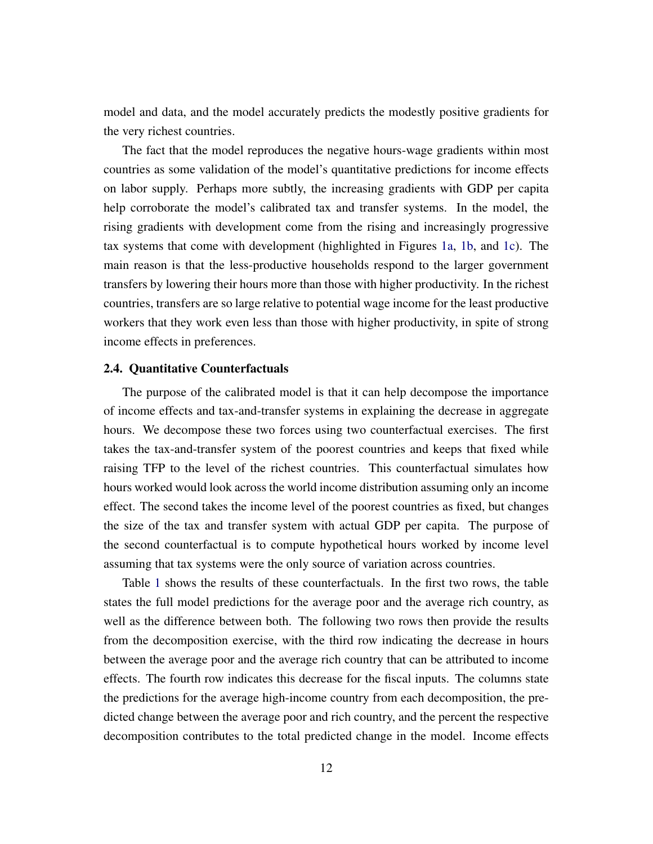model and data, and the model accurately predicts the modestly positive gradients for the very richest countries.

The fact that the model reproduces the negative hours-wage gradients within most countries as some validation of the model's quantitative predictions for income effects on labor supply. Perhaps more subtly, the increasing gradients with GDP per capita help corroborate the model's calibrated tax and transfer systems. In the model, the rising gradients with development come from the rising and increasingly progressive tax systems that come with development (highlighted in Figures [1a,](#page-9-0) [1b,](#page-9-0) and [1c\)](#page-9-0). The main reason is that the less-productive households respond to the larger government transfers by lowering their hours more than those with higher productivity. In the richest countries, transfers are so large relative to potential wage income for the least productive workers that they work even less than those with higher productivity, in spite of strong income effects in preferences.

## 2.4. Quantitative Counterfactuals

The purpose of the calibrated model is that it can help decompose the importance of income effects and tax-and-transfer systems in explaining the decrease in aggregate hours. We decompose these two forces using two counterfactual exercises. The first takes the tax-and-transfer system of the poorest countries and keeps that fixed while raising TFP to the level of the richest countries. This counterfactual simulates how hours worked would look across the world income distribution assuming only an income effect. The second takes the income level of the poorest countries as fixed, but changes the size of the tax and transfer system with actual GDP per capita. The purpose of the second counterfactual is to compute hypothetical hours worked by income level assuming that tax systems were the only source of variation across countries.

Table [1](#page-13-0) shows the results of these counterfactuals. In the first two rows, the table states the full model predictions for the average poor and the average rich country, as well as the difference between both. The following two rows then provide the results from the decomposition exercise, with the third row indicating the decrease in hours between the average poor and the average rich country that can be attributed to income effects. The fourth row indicates this decrease for the fiscal inputs. The columns state the predictions for the average high-income country from each decomposition, the predicted change between the average poor and rich country, and the percent the respective decomposition contributes to the total predicted change in the model. Income effects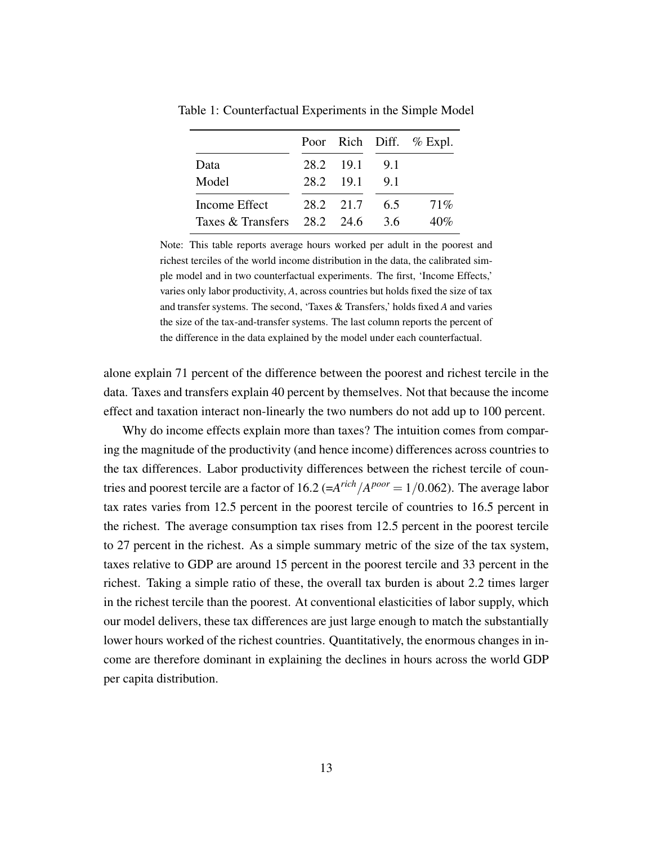|                               |               |      | Poor Rich Diff. % Expl. |
|-------------------------------|---------------|------|-------------------------|
| Data                          | 28.2 19.1 9.1 |      |                         |
| Model                         | 28.2 19.1     | 91   |                         |
| Income Effect                 | 28.2 21.7     | -6.5 | $71\%$                  |
| Taxes $&$ Transfers 28.2 24.6 |               | 36   | 40%                     |

<span id="page-13-0"></span>Table 1: Counterfactual Experiments in the Simple Model

Note: This table reports average hours worked per adult in the poorest and richest terciles of the world income distribution in the data, the calibrated simple model and in two counterfactual experiments. The first, 'Income Effects,' varies only labor productivity, *A*, across countries but holds fixed the size of tax and transfer systems. The second, 'Taxes & Transfers,' holds fixed *A* and varies the size of the tax-and-transfer systems. The last column reports the percent of the difference in the data explained by the model under each counterfactual.

alone explain 71 percent of the difference between the poorest and richest tercile in the data. Taxes and transfers explain 40 percent by themselves. Not that because the income effect and taxation interact non-linearly the two numbers do not add up to 100 percent.

Why do income effects explain more than taxes? The intuition comes from comparing the magnitude of the productivity (and hence income) differences across countries to the tax differences. Labor productivity differences between the richest tercile of countries and poorest tercile are a factor of 16.2 ( $=A^{rich}/A^{poor} = 1/0.062$ ). The average labor tax rates varies from 12.5 percent in the poorest tercile of countries to 16.5 percent in the richest. The average consumption tax rises from 12.5 percent in the poorest tercile to 27 percent in the richest. As a simple summary metric of the size of the tax system, taxes relative to GDP are around 15 percent in the poorest tercile and 33 percent in the richest. Taking a simple ratio of these, the overall tax burden is about 2.2 times larger in the richest tercile than the poorest. At conventional elasticities of labor supply, which our model delivers, these tax differences are just large enough to match the substantially lower hours worked of the richest countries. Quantitatively, the enormous changes in income are therefore dominant in explaining the declines in hours across the world GDP per capita distribution.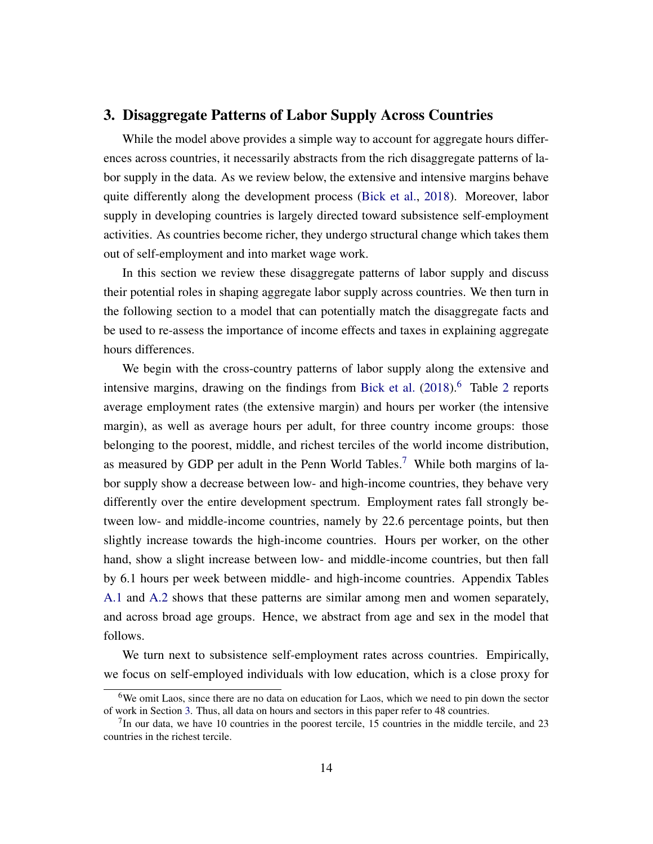## <span id="page-14-0"></span>3. Disaggregate Patterns of Labor Supply Across Countries

While the model above provides a simple way to account for aggregate hours differences across countries, it necessarily abstracts from the rich disaggregate patterns of labor supply in the data. As we review below, the extensive and intensive margins behave quite differently along the development process [\(Bick et al.,](#page-32-1) [2018\)](#page-32-1). Moreover, labor supply in developing countries is largely directed toward subsistence self-employment activities. As countries become richer, they undergo structural change which takes them out of self-employment and into market wage work.

In this section we review these disaggregate patterns of labor supply and discuss their potential roles in shaping aggregate labor supply across countries. We then turn in the following section to a model that can potentially match the disaggregate facts and be used to re-assess the importance of income effects and taxes in explaining aggregate hours differences.

We begin with the cross-country patterns of labor supply along the extensive and intensive margins, drawing on the findings from [Bick et al.](#page-32-1)  $(2018)$ <sup>[6](#page-14-1)</sup> Table [2](#page-15-0) reports average employment rates (the extensive margin) and hours per worker (the intensive margin), as well as average hours per adult, for three country income groups: those belonging to the poorest, middle, and richest terciles of the world income distribution, as measured by GDP per adult in the Penn World Tables.<sup>[7](#page-14-2)</sup> While both margins of labor supply show a decrease between low- and high-income countries, they behave very differently over the entire development spectrum. Employment rates fall strongly between low- and middle-income countries, namely by 22.6 percentage points, but then slightly increase towards the high-income countries. Hours per worker, on the other hand, show a slight increase between low- and middle-income countries, but then fall by 6.1 hours per week between middle- and high-income countries. Appendix Tables [A.1](#page-36-0) and [A.2](#page-37-0) shows that these patterns are similar among men and women separately, and across broad age groups. Hence, we abstract from age and sex in the model that follows.

We turn next to subsistence self-employment rates across countries. Empirically, we focus on self-employed individuals with low education, which is a close proxy for

<span id="page-14-1"></span><sup>&</sup>lt;sup>6</sup>We omit Laos, since there are no data on education for Laos, which we need to pin down the sector of work in Section [3.](#page-14-0) Thus, all data on hours and sectors in this paper refer to 48 countries.

<span id="page-14-2"></span> $<sup>7</sup>$ In our data, we have 10 countries in the poorest tercile, 15 countries in the middle tercile, and 23</sup> countries in the richest tercile.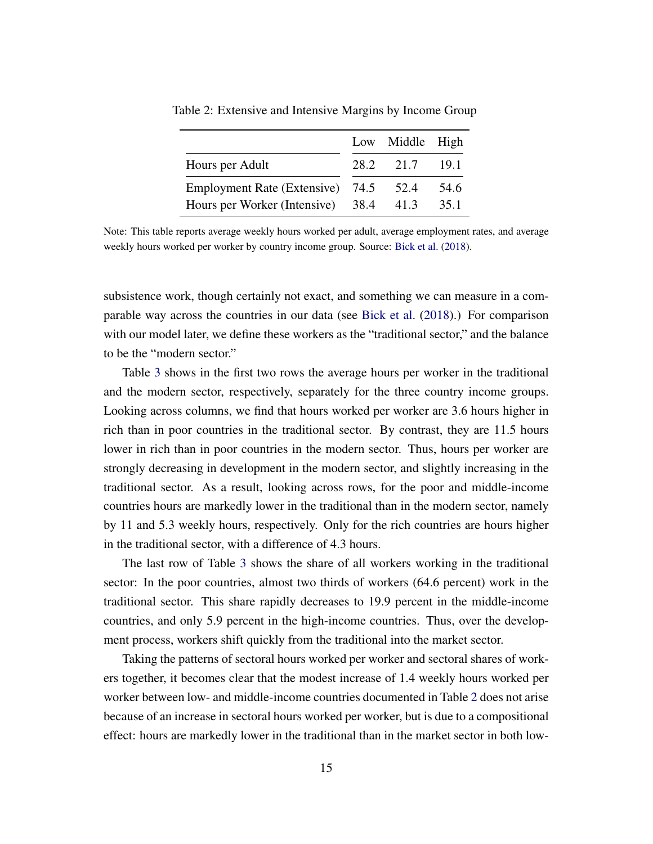|                                   | Low Middle High |         |
|-----------------------------------|-----------------|---------|
| Hours per Adult                   | 28.2 21.7       | $-19.1$ |
| Employment Rate (Extensive) 74.5  | - 52.4          | 54.6    |
| Hours per Worker (Intensive) 38.4 | 41.3            | 35.1    |

<span id="page-15-0"></span>Table 2: Extensive and Intensive Margins by Income Group

Note: This table reports average weekly hours worked per adult, average employment rates, and average weekly hours worked per worker by country income group. Source: [Bick et al.](#page-32-1) [\(2018\)](#page-32-1).

subsistence work, though certainly not exact, and something we can measure in a comparable way across the countries in our data (see [Bick et al.](#page-32-1) [\(2018\)](#page-32-1).) For comparison with our model later, we define these workers as the "traditional sector," and the balance to be the "modern sector."

Table [3](#page-16-1) shows in the first two rows the average hours per worker in the traditional and the modern sector, respectively, separately for the three country income groups. Looking across columns, we find that hours worked per worker are 3.6 hours higher in rich than in poor countries in the traditional sector. By contrast, they are 11.5 hours lower in rich than in poor countries in the modern sector. Thus, hours per worker are strongly decreasing in development in the modern sector, and slightly increasing in the traditional sector. As a result, looking across rows, for the poor and middle-income countries hours are markedly lower in the traditional than in the modern sector, namely by 11 and 5.3 weekly hours, respectively. Only for the rich countries are hours higher in the traditional sector, with a difference of 4.3 hours.

The last row of Table [3](#page-16-1) shows the share of all workers working in the traditional sector: In the poor countries, almost two thirds of workers (64.6 percent) work in the traditional sector. This share rapidly decreases to 19.9 percent in the middle-income countries, and only 5.9 percent in the high-income countries. Thus, over the development process, workers shift quickly from the traditional into the market sector.

Taking the patterns of sectoral hours worked per worker and sectoral shares of workers together, it becomes clear that the modest increase of 1.4 weekly hours worked per worker between low- and middle-income countries documented in Table [2](#page-15-0) does not arise because of an increase in sectoral hours worked per worker, but is due to a compositional effect: hours are markedly lower in the traditional than in the market sector in both low-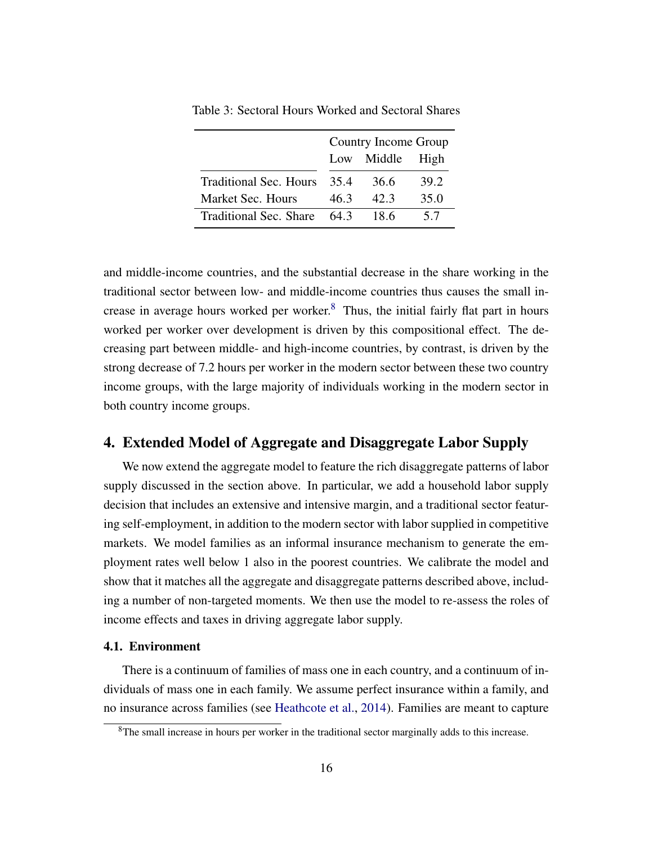|                               | Country Income Group |                 |      |
|-------------------------------|----------------------|-----------------|------|
|                               |                      | Low Middle High |      |
| Traditional Sec. Hours        | 35.4                 | 36.6            | 39.2 |
| Market Sec. Hours             | 46.3                 | 42.3            | 35.0 |
| <b>Traditional Sec. Share</b> | 64.3                 | 18.6            | 5.7  |

<span id="page-16-1"></span>Table 3: Sectoral Hours Worked and Sectoral Shares

and middle-income countries, and the substantial decrease in the share working in the traditional sector between low- and middle-income countries thus causes the small increase in average hours worked per worker. $8$  Thus, the initial fairly flat part in hours worked per worker over development is driven by this compositional effect. The decreasing part between middle- and high-income countries, by contrast, is driven by the strong decrease of 7.2 hours per worker in the modern sector between these two country income groups, with the large majority of individuals working in the modern sector in both country income groups.

# <span id="page-16-0"></span>4. Extended Model of Aggregate and Disaggregate Labor Supply

We now extend the aggregate model to feature the rich disaggregate patterns of labor supply discussed in the section above. In particular, we add a household labor supply decision that includes an extensive and intensive margin, and a traditional sector featuring self-employment, in addition to the modern sector with labor supplied in competitive markets. We model families as an informal insurance mechanism to generate the employment rates well below 1 also in the poorest countries. We calibrate the model and show that it matches all the aggregate and disaggregate patterns described above, including a number of non-targeted moments. We then use the model to re-assess the roles of income effects and taxes in driving aggregate labor supply.

### 4.1. Environment

There is a continuum of families of mass one in each country, and a continuum of individuals of mass one in each family. We assume perfect insurance within a family, and no insurance across families (see [Heathcote et al.,](#page-33-7) [2014\)](#page-33-7). Families are meant to capture

<span id="page-16-2"></span><sup>&</sup>lt;sup>8</sup>The small increase in hours per worker in the traditional sector marginally adds to this increase.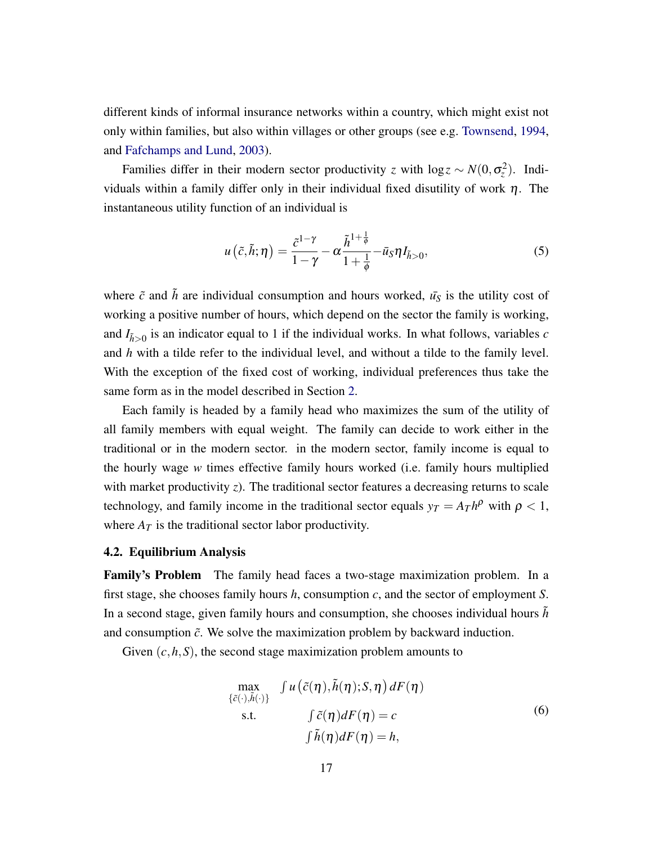different kinds of informal insurance networks within a country, which might exist not only within families, but also within villages or other groups (see e.g. [Townsend,](#page-35-4) [1994,](#page-35-4) and [Fafchamps and Lund,](#page-33-8) [2003\)](#page-33-8).

Families differ in their modern sector productivity *z* with  $\log z \sim N(0, \sigma_z^2)$ . Individuals within a family differ only in their individual fixed disutility of work  $\eta$ . The instantaneous utility function of an individual is

<span id="page-17-1"></span>
$$
u\left(\tilde{c},\tilde{h};\eta\right)=\frac{\tilde{c}^{1-\gamma}}{1-\gamma}-\alpha\frac{\tilde{h}^{1+\frac{1}{\phi}}}{1+\frac{1}{\phi}}-\bar{u}_{\tilde{S}}\eta I_{\tilde{h}>0},\tag{5}
$$

where  $\tilde{c}$  and  $\tilde{h}$  are individual consumption and hours worked,  $\tilde{u_s}$  is the utility cost of working a positive number of hours, which depend on the sector the family is working, and  $I_{\tilde{h}>0}$  is an indicator equal to 1 if the individual works. In what follows, variables *c* and *h* with a tilde refer to the individual level, and without a tilde to the family level. With the exception of the fixed cost of working, individual preferences thus take the same form as in the model described in Section [2.](#page-5-0)

Each family is headed by a family head who maximizes the sum of the utility of all family members with equal weight. The family can decide to work either in the traditional or in the modern sector. in the modern sector, family income is equal to the hourly wage *w* times effective family hours worked (i.e. family hours multiplied with market productivity *z*). The traditional sector features a decreasing returns to scale technology, and family income in the traditional sector equals  $y_T = A_T h^{\rho}$  with  $\rho < 1$ , where  $A_T$  is the traditional sector labor productivity.

### 4.2. Equilibrium Analysis

Family's Problem The family head faces a two-stage maximization problem. In a first stage, she chooses family hours *h*, consumption *c*, and the sector of employment *S*. In a second stage, given family hours and consumption, she chooses individual hours *h* and consumption  $\tilde{c}$ . We solve the maximization problem by backward induction.

Given  $(c, h, S)$ , the second stage maximization problem amounts to

<span id="page-17-0"></span>
$$
\begin{array}{ll}\n\max_{\{\tilde{c}(\cdot), \tilde{h}(\cdot)\}} & \int u\left(\tilde{c}(\eta), \tilde{h}(\eta); S, \eta\right) dF(\eta) \\
\text{s.t.} & \int \tilde{c}(\eta) dF(\eta) = c \\
& \int \tilde{h}(\eta) dF(\eta) = h,\n\end{array} \tag{6}
$$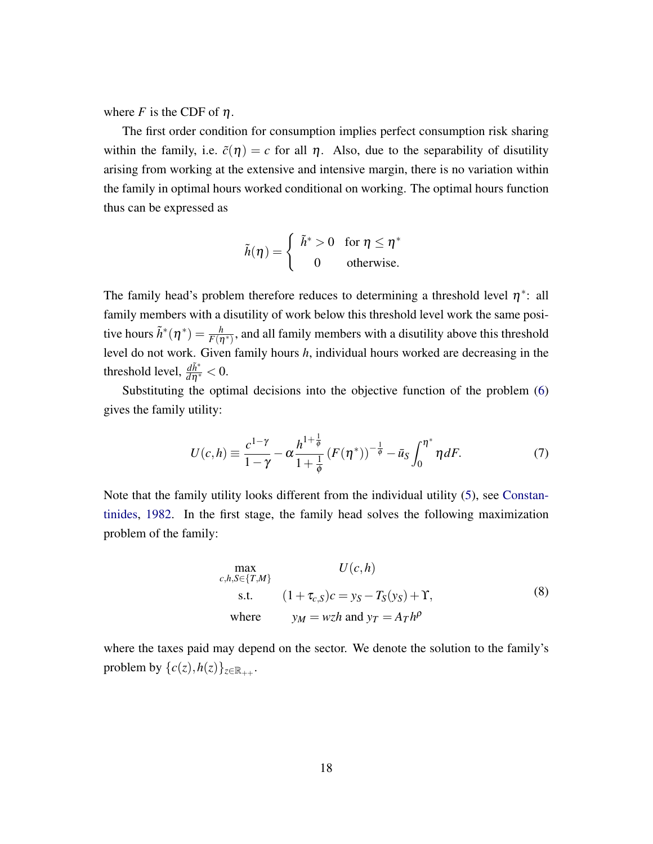where *F* is the CDF of  $\eta$ .

The first order condition for consumption implies perfect consumption risk sharing within the family, i.e.  $\tilde{c}(\eta) = c$  for all  $\eta$ . Also, due to the separability of disutility arising from working at the extensive and intensive margin, there is no variation within the family in optimal hours worked conditional on working. The optimal hours function thus can be expressed as

$$
\tilde{h}(\eta) = \begin{cases} \n\tilde{h}^* > 0 \quad \text{for } \eta \leq \eta^* \\ \n0 & \text{otherwise.} \n\end{cases}
$$

The family head's problem therefore reduces to determining a threshold level  $\eta^*$ : all family members with a disutility of work below this threshold level work the same positive hours  $\tilde{h}^*(\eta^*) = \frac{h}{F(\eta^*)}$ , and all family members with a disutility above this threshold level do not work. Given family hours *h*, individual hours worked are decreasing in the threshold level,  $\frac{d\tilde{h}^*}{d\eta^*} < 0$ .

Substituting the optimal decisions into the objective function of the problem [\(6\)](#page-17-0) gives the family utility:

<span id="page-18-1"></span>
$$
U(c,h) \equiv \frac{c^{1-\gamma}}{1-\gamma} - \alpha \frac{h^{1+\frac{1}{\phi}}}{1+\frac{1}{\phi}} \left( F(\eta^*) \right)^{-\frac{1}{\phi}} - \bar{u}_S \int_0^{\eta^*} \eta \, dF. \tag{7}
$$

Note that the family utility looks different from the individual utility [\(5\)](#page-17-1), see [Constan](#page-33-9)[tinides,](#page-33-9) [1982.](#page-33-9) In the first stage, the family head solves the following maximization problem of the family:

<span id="page-18-0"></span>
$$
\max_{c,h,S \in \{T,M\}} U(c,h)
$$
  
s.t. 
$$
(1 + \tau_{c,S})c = y_S - T_S(y_S) + \Upsilon,
$$
  
where 
$$
y_M = wzh \text{ and } y_T = A_T h^{\rho}
$$
 (8)

where the taxes paid may depend on the sector. We denote the solution to the family's problem by  $\{c(z), h(z)\}_{z \in \mathbb{R}_{++}}$ .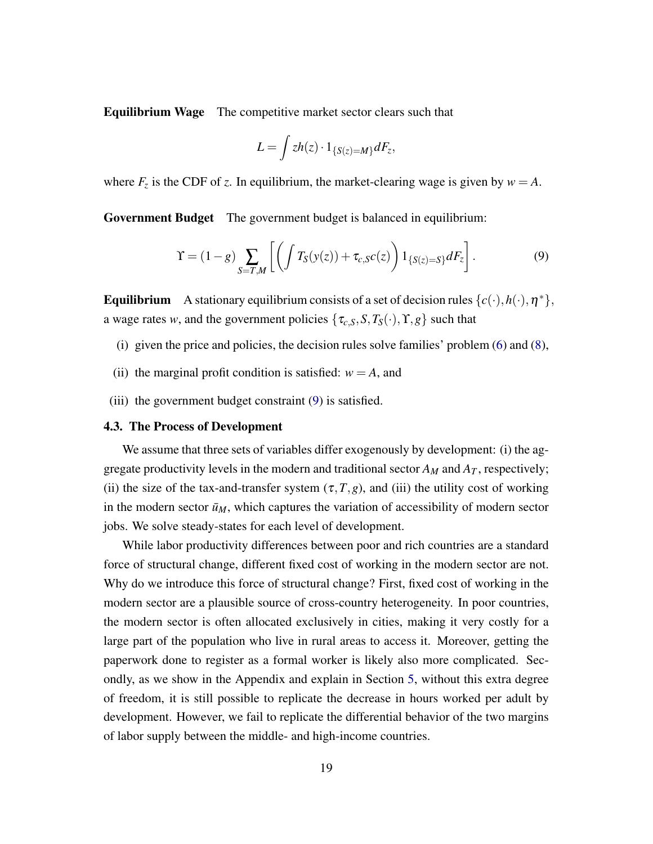Equilibrium Wage The competitive market sector clears such that

$$
L = \int zh(z) \cdot 1_{\{S(z) = M\}} dF_z,
$$

where  $F_z$  is the CDF of *z*. In equilibrium, the market-clearing wage is given by  $w = A$ .

Government Budget The government budget is balanced in equilibrium:

<span id="page-19-0"></span>
$$
\Upsilon = (1 - g) \sum_{S = T,M} \left[ \left( \int T_S(y(z)) + \tau_{c,S} c(z) \right) 1_{\{S(z) = S\}} dF_z \right].
$$
 (9)

**Equilibrium** A stationary equilibrium consists of a set of decision rules  $\{c(\cdot), h(\cdot), \eta^*\}$ , a wage rates *w*, and the government policies  $\{\tau_{c,s}, S, T_S(\cdot), \Upsilon, g\}$  such that

- (i) given the price and policies, the decision rules solve families' problem [\(6\)](#page-17-0) and [\(8\)](#page-18-0),
- (ii) the marginal profit condition is satisfied:  $w = A$ , and
- (iii) the government budget constraint [\(9\)](#page-19-0) is satisfied.

#### 4.3. The Process of Development

We assume that three sets of variables differ exogenously by development: (i) the aggregate productivity levels in the modern and traditional sector  $A_M$  and  $A_T$ , respectively; (ii) the size of the tax-and-transfer system  $(\tau, T, g)$ , and (iii) the utility cost of working in the modern sector  $\bar{u}_M$ , which captures the variation of accessibility of modern sector jobs. We solve steady-states for each level of development.

While labor productivity differences between poor and rich countries are a standard force of structural change, different fixed cost of working in the modern sector are not. Why do we introduce this force of structural change? First, fixed cost of working in the modern sector are a plausible source of cross-country heterogeneity. In poor countries, the modern sector is often allocated exclusively in cities, making it very costly for a large part of the population who live in rural areas to access it. Moreover, getting the paperwork done to register as a formal worker is likely also more complicated. Secondly, as we show in the Appendix and explain in Section [5,](#page-25-0) without this extra degree of freedom, it is still possible to replicate the decrease in hours worked per adult by development. However, we fail to replicate the differential behavior of the two margins of labor supply between the middle- and high-income countries.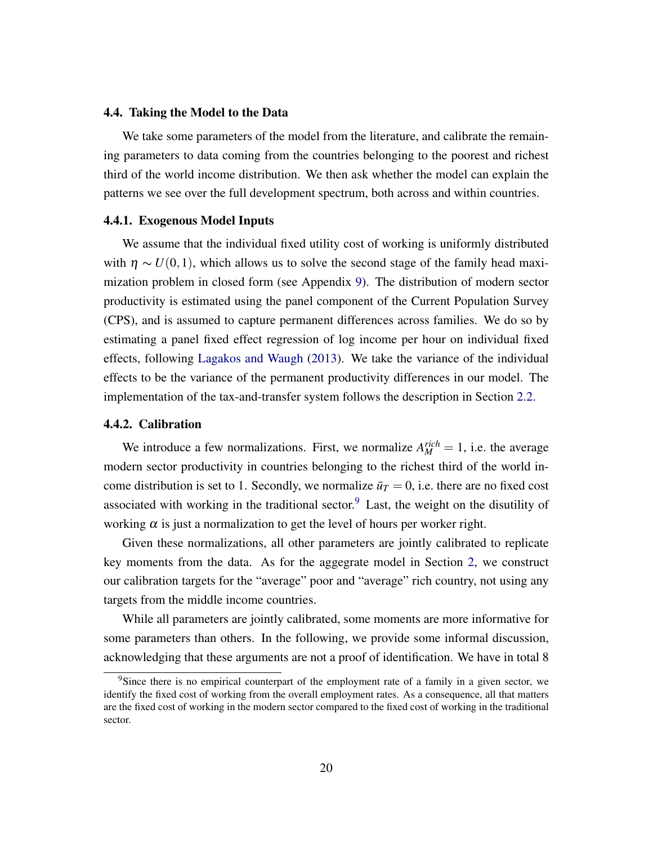#### 4.4. Taking the Model to the Data

We take some parameters of the model from the literature, and calibrate the remaining parameters to data coming from the countries belonging to the poorest and richest third of the world income distribution. We then ask whether the model can explain the patterns we see over the full development spectrum, both across and within countries.

#### 4.4.1. Exogenous Model Inputs

We assume that the individual fixed utility cost of working is uniformly distributed with  $\eta \sim U(0,1)$ , which allows us to solve the second stage of the family head maximization problem in closed form (see Appendix [9\)](#page-38-0). The distribution of modern sector productivity is estimated using the panel component of the Current Population Survey (CPS), and is assumed to capture permanent differences across families. We do so by estimating a panel fixed effect regression of log income per hour on individual fixed effects, following [Lagakos and Waugh](#page-34-11) [\(2013\)](#page-34-11). We take the variance of the individual effects to be the variance of the permanent productivity differences in our model. The implementation of the tax-and-transfer system follows the description in Section [2.2.](#page-7-1)

#### 4.4.2. Calibration

We introduce a few normalizations. First, we normalize  $A_M^{rich} = 1$ , i.e. the average modern sector productivity in countries belonging to the richest third of the world income distribution is set to 1. Secondly, we normalize  $\bar{u}_T = 0$ , i.e. there are no fixed cost associated with working in the traditional sector. $9$  Last, the weight on the disutility of working  $\alpha$  is just a normalization to get the level of hours per worker right.

Given these normalizations, all other parameters are jointly calibrated to replicate key moments from the data. As for the aggegrate model in Section [2,](#page-5-0) we construct our calibration targets for the "average" poor and "average" rich country, not using any targets from the middle income countries.

While all parameters are jointly calibrated, some moments are more informative for some parameters than others. In the following, we provide some informal discussion, acknowledging that these arguments are not a proof of identification. We have in total 8

<span id="page-20-0"></span><sup>&</sup>lt;sup>9</sup>Since there is no empirical counterpart of the employment rate of a family in a given sector, we identify the fixed cost of working from the overall employment rates. As a consequence, all that matters are the fixed cost of working in the modern sector compared to the fixed cost of working in the traditional sector.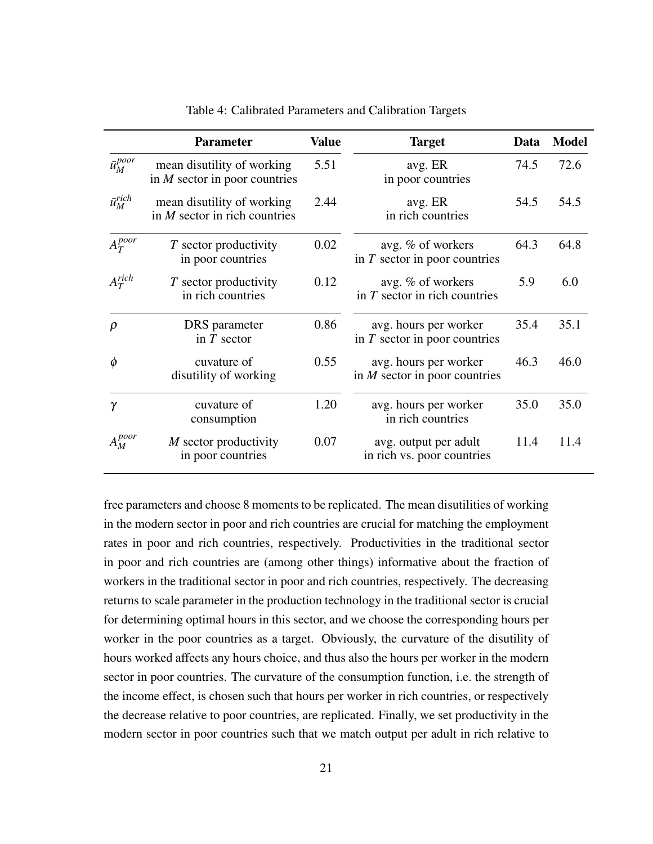<span id="page-21-0"></span>

|                    | <b>Parameter</b>                                              | <b>Value</b> | <b>Target</b>                                            | Data | <b>Model</b> |
|--------------------|---------------------------------------------------------------|--------------|----------------------------------------------------------|------|--------------|
| $\bar{u}_M^{poor}$ | mean disutility of working<br>in $M$ sector in poor countries | 5.51         | avg. ER<br>in poor countries                             | 74.5 | 72.6         |
| $\bar{u}_M^{rich}$ | mean disutility of working<br>in $M$ sector in rich countries | 2.44         | avg. ER<br>in rich countries                             | 54.5 | 54.5         |
| $A_T^{poor}$       | T sector productivity<br>in poor countries                    | 0.02         | avg. % of workers<br>in $T$ sector in poor countries     | 64.3 | 64.8         |
| $A_T^{rich}$       | T sector productivity<br>in rich countries                    | 0.12         | avg. % of workers<br>in $T$ sector in rich countries     | 5.9  | 6.0          |
| $\rho$             | DRS parameter<br>in $T$ sector                                | 0.86         | avg. hours per worker<br>in $T$ sector in poor countries | 35.4 | 35.1         |
| $\phi$             | cuvature of<br>disutility of working                          | 0.55         | avg. hours per worker<br>in $M$ sector in poor countries | 46.3 | 46.0         |
| $\gamma$           | cuvature of<br>consumption                                    | 1.20         | avg. hours per worker<br>in rich countries               | 35.0 | 35.0         |
| $A_M^{poor}$       | M sector productivity<br>in poor countries                    | 0.07         | avg. output per adult<br>in rich vs. poor countries      | 11.4 | 11.4         |

Table 4: Calibrated Parameters and Calibration Targets

free parameters and choose 8 moments to be replicated. The mean disutilities of working in the modern sector in poor and rich countries are crucial for matching the employment rates in poor and rich countries, respectively. Productivities in the traditional sector in poor and rich countries are (among other things) informative about the fraction of workers in the traditional sector in poor and rich countries, respectively. The decreasing returns to scale parameter in the production technology in the traditional sector is crucial for determining optimal hours in this sector, and we choose the corresponding hours per worker in the poor countries as a target. Obviously, the curvature of the disutility of hours worked affects any hours choice, and thus also the hours per worker in the modern sector in poor countries. The curvature of the consumption function, i.e. the strength of the income effect, is chosen such that hours per worker in rich countries, or respectively the decrease relative to poor countries, are replicated. Finally, we set productivity in the modern sector in poor countries such that we match output per adult in rich relative to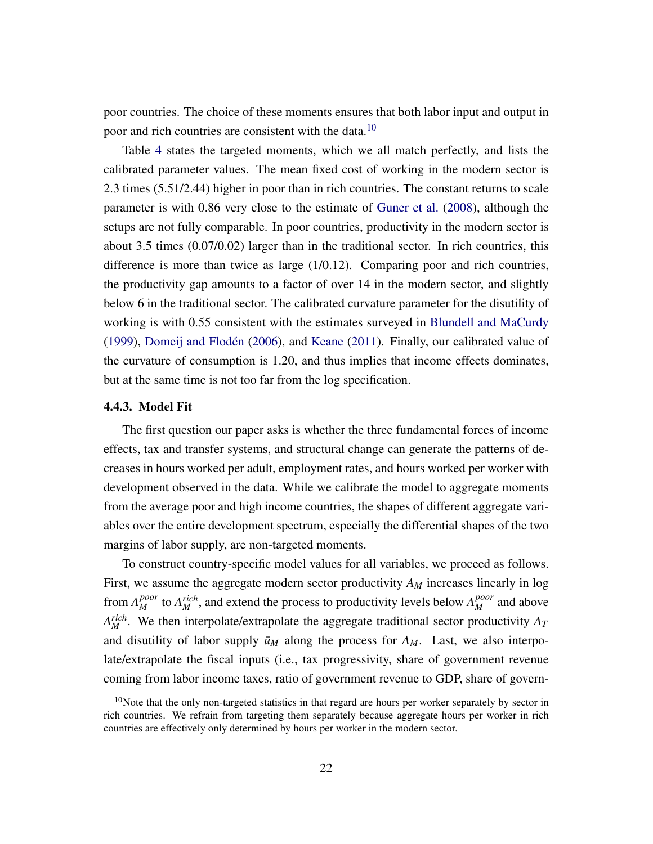poor countries. The choice of these moments ensures that both labor input and output in poor and rich countries are consistent with the data.<sup>[10](#page-22-0)</sup>

Table [4](#page-21-0) states the targeted moments, which we all match perfectly, and lists the calibrated parameter values. The mean fixed cost of working in the modern sector is 2.3 times (5.51/2.44) higher in poor than in rich countries. The constant returns to scale parameter is with 0.86 very close to the estimate of [Guner et al.](#page-33-10) [\(2008\)](#page-33-10), although the setups are not fully comparable. In poor countries, productivity in the modern sector is about 3.5 times (0.07/0.02) larger than in the traditional sector. In rich countries, this difference is more than twice as large (1/0.12). Comparing poor and rich countries, the productivity gap amounts to a factor of over 14 in the modern sector, and slightly below 6 in the traditional sector. The calibrated curvature parameter for the disutility of working is with 0.55 consistent with the estimates surveyed in [Blundell and MaCurdy](#page-32-9) [\(1999\)](#page-32-9), [Domeij and Floden´](#page-33-11) [\(2006\)](#page-33-11), and [Keane](#page-34-8) [\(2011\)](#page-34-8). Finally, our calibrated value of the curvature of consumption is 1.20, and thus implies that income effects dominates, but at the same time is not too far from the log specification.

## 4.4.3. Model Fit

The first question our paper asks is whether the three fundamental forces of income effects, tax and transfer systems, and structural change can generate the patterns of decreases in hours worked per adult, employment rates, and hours worked per worker with development observed in the data. While we calibrate the model to aggregate moments from the average poor and high income countries, the shapes of different aggregate variables over the entire development spectrum, especially the differential shapes of the two margins of labor supply, are non-targeted moments.

To construct country-specific model values for all variables, we proceed as follows. First, we assume the aggregate modern sector productivity *A<sup>M</sup>* increases linearly in log from  $A_M^{poor}$  to  $A_M^{rich}$ , and extend the process to productivity levels below  $A_M^{poor}$  and above  $A_M^{rich}$ . We then interpolate/extrapolate the aggregate traditional sector productivity  $A_T$ and disutility of labor supply  $\bar{u}_M$  along the process for  $A_M$ . Last, we also interpolate/extrapolate the fiscal inputs (i.e., tax progressivity, share of government revenue coming from labor income taxes, ratio of government revenue to GDP, share of govern-

<span id="page-22-0"></span> $10$ Note that the only non-targeted statistics in that regard are hours per worker separately by sector in rich countries. We refrain from targeting them separately because aggregate hours per worker in rich countries are effectively only determined by hours per worker in the modern sector.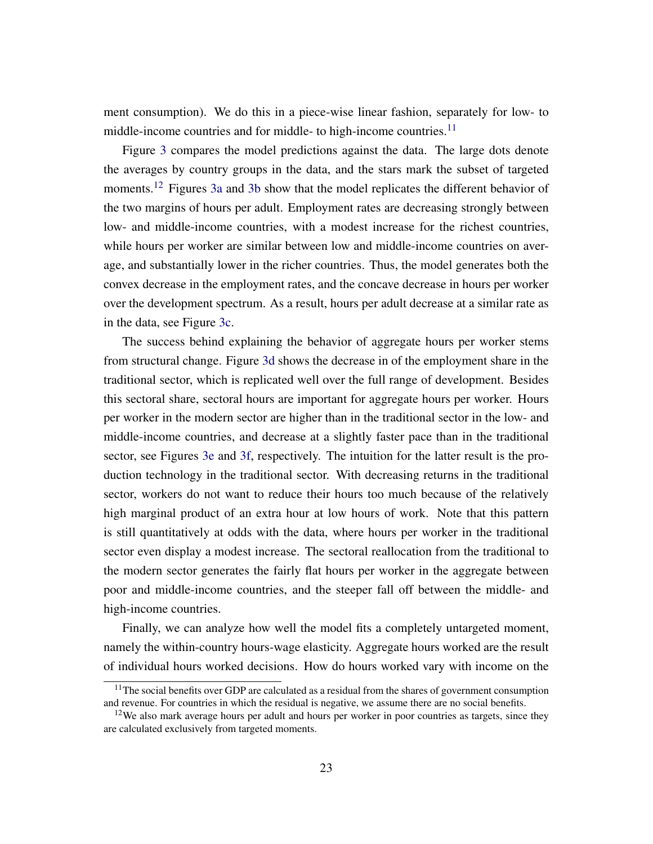ment consumption). We do this in a piece-wise linear fashion, separately for low- to middle-income countries and for middle- to high-income countries.<sup>[11](#page-23-0)</sup>

Figure [3](#page-24-0) compares the model predictions against the data. The large dots denote the averages by country groups in the data, and the stars mark the subset of targeted moments.<sup>[12](#page-23-1)</sup> Figures [3a](#page-24-0) and [3b](#page-24-0) show that the model replicates the different behavior of the two margins of hours per adult. Employment rates are decreasing strongly between low- and middle-income countries, with a modest increase for the richest countries, while hours per worker are similar between low and middle-income countries on average, and substantially lower in the richer countries. Thus, the model generates both the convex decrease in the employment rates, and the concave decrease in hours per worker over the development spectrum. As a result, hours per adult decrease at a similar rate as in the data, see Figure [3c.](#page-24-0)

The success behind explaining the behavior of aggregate hours per worker stems from structural change. Figure [3d](#page-24-0) shows the decrease in of the employment share in the traditional sector, which is replicated well over the full range of development. Besides this sectoral share, sectoral hours are important for aggregate hours per worker. Hours per worker in the modern sector are higher than in the traditional sector in the low- and middle-income countries, and decrease at a slightly faster pace than in the traditional sector, see Figures [3e](#page-24-0) and [3f,](#page-24-0) respectively. The intuition for the latter result is the production technology in the traditional sector. With decreasing returns in the traditional sector, workers do not want to reduce their hours too much because of the relatively high marginal product of an extra hour at low hours of work. Note that this pattern is still quantitatively at odds with the data, where hours per worker in the traditional sector even display a modest increase. The sectoral reallocation from the traditional to the modern sector generates the fairly flat hours per worker in the aggregate between poor and middle-income countries, and the steeper fall off between the middle- and high-income countries.

Finally, we can analyze how well the model fits a completely untargeted moment, namely the within-country hours-wage elasticity. Aggregate hours worked are the result of individual hours worked decisions. How do hours worked vary with income on the

<span id="page-23-0"></span> $11$ The social benefits over GDP are calculated as a residual from the shares of government consumption and revenue. For countries in which the residual is negative, we assume there are no social benefits.

<span id="page-23-1"></span> $12$ We also mark average hours per adult and hours per worker in poor countries as targets, since they are calculated exclusively from targeted moments.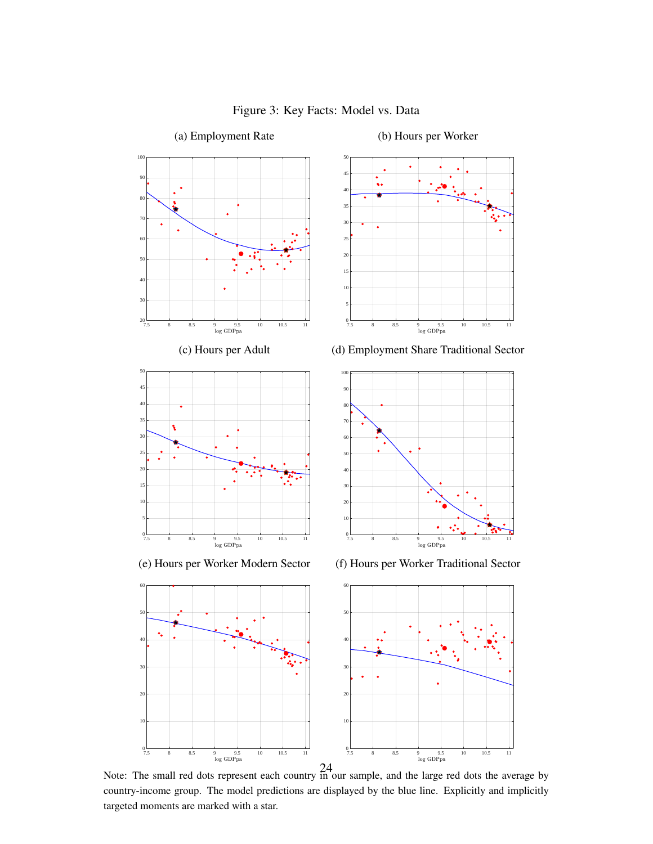<span id="page-24-0"></span>

Figure 3: Key Facts: Model vs. Data

Note: The small red dots represent each country in our sample, and the large red dots the average by 24country-income group. The model predictions are displayed by the blue line. Explicitly and implicitly targeted moments are marked with a star.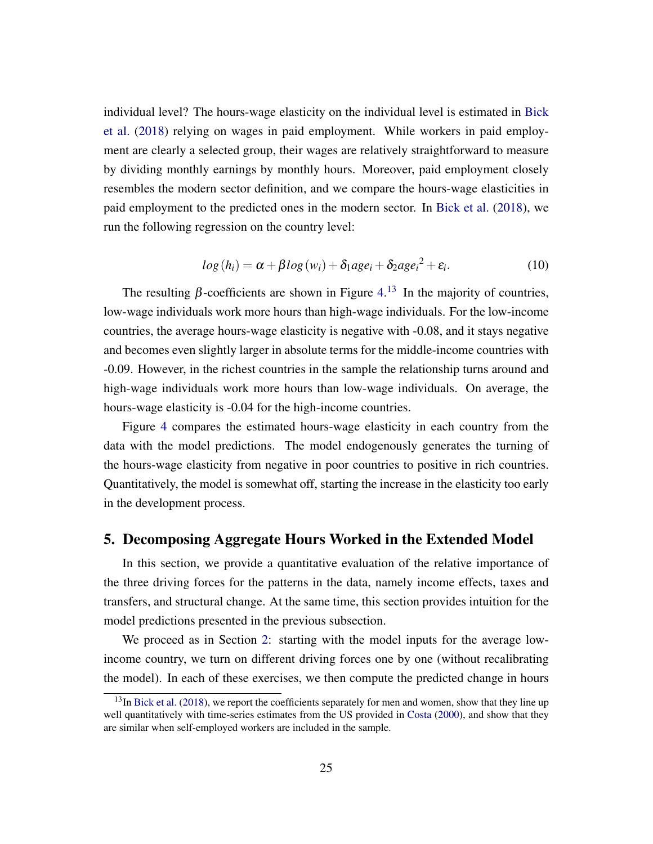individual level? The hours-wage elasticity on the individual level is estimated in [Bick](#page-32-1) [et al.](#page-32-1) [\(2018\)](#page-32-1) relying on wages in paid employment. While workers in paid employment are clearly a selected group, their wages are relatively straightforward to measure by dividing monthly earnings by monthly hours. Moreover, paid employment closely resembles the modern sector definition, and we compare the hours-wage elasticities in paid employment to the predicted ones in the modern sector. In [Bick et al.](#page-32-1) [\(2018\)](#page-32-1), we run the following regression on the country level:

$$
log(h_i) = \alpha + \beta log(w_i) + \delta_1 age_i + \delta_2 age_i^2 + \varepsilon_i. \tag{10}
$$

The resulting  $\beta$ -coefficients are shown in Figure [4.](#page-26-0)<sup>[13](#page-25-1)</sup> In the majority of countries, low-wage individuals work more hours than high-wage individuals. For the low-income countries, the average hours-wage elasticity is negative with -0.08, and it stays negative and becomes even slightly larger in absolute terms for the middle-income countries with -0.09. However, in the richest countries in the sample the relationship turns around and high-wage individuals work more hours than low-wage individuals. On average, the hours-wage elasticity is  $-0.04$  for the high-income countries.

Figure [4](#page-26-0) compares the estimated hours-wage elasticity in each country from the data with the model predictions. The model endogenously generates the turning of the hours-wage elasticity from negative in poor countries to positive in rich countries. Quantitatively, the model is somewhat off, starting the increase in the elasticity too early in the development process.

## <span id="page-25-0"></span>5. Decomposing Aggregate Hours Worked in the Extended Model

In this section, we provide a quantitative evaluation of the relative importance of the three driving forces for the patterns in the data, namely income effects, taxes and transfers, and structural change. At the same time, this section provides intuition for the model predictions presented in the previous subsection.

We proceed as in Section [2:](#page-5-0) starting with the model inputs for the average lowincome country, we turn on different driving forces one by one (without recalibrating the model). In each of these exercises, we then compute the predicted change in hours

<span id="page-25-1"></span> $13$ In [Bick et al.](#page-32-1) [\(2018\)](#page-32-1), we report the coefficients separately for men and women, show that they line up well quantitatively with time-series estimates from the US provided in [Costa](#page-33-5) [\(2000\)](#page-33-5), and show that they are similar when self-employed workers are included in the sample.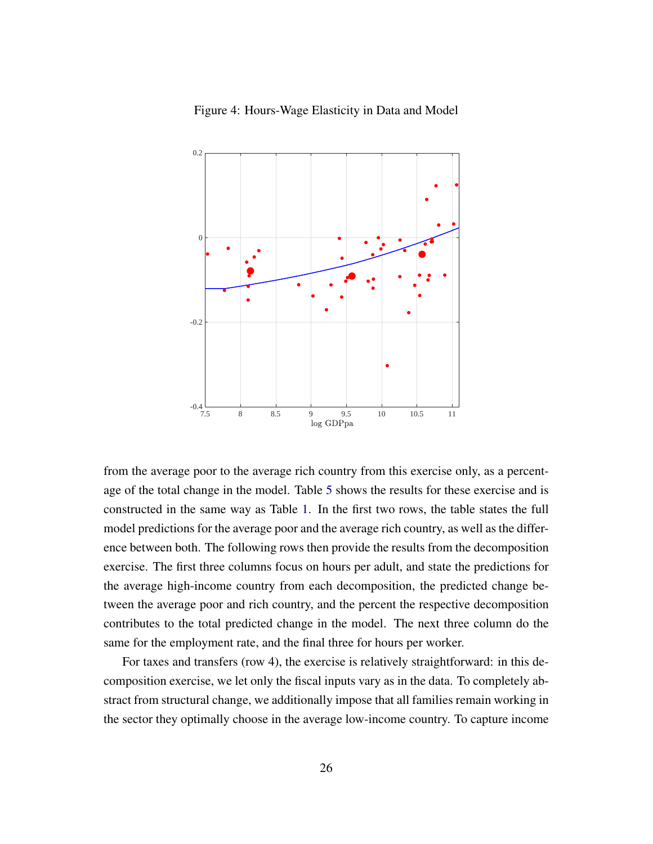Figure 4: Hours-Wage Elasticity in Data and Model

<span id="page-26-0"></span>

from the average poor to the average rich country from this exercise only, as a percentage of the total change in the model. Table [5](#page-28-0) shows the results for these exercise and is constructed in the same way as Table [1.](#page-13-0) In the first two rows, the table states the full model predictions for the average poor and the average rich country, as well as the difference between both. The following rows then provide the results from the decomposition exercise. The first three columns focus on hours per adult, and state the predictions for the average high-income country from each decomposition, the predicted change between the average poor and rich country, and the percent the respective decomposition contributes to the total predicted change in the model. The next three column do the same for the employment rate, and the final three for hours per worker.

For taxes and transfers (row 4), the exercise is relatively straightforward: in this decomposition exercise, we let only the fiscal inputs vary as in the data. To completely abstract from structural change, we additionally impose that all families remain working in the sector they optimally choose in the average low-income country. To capture income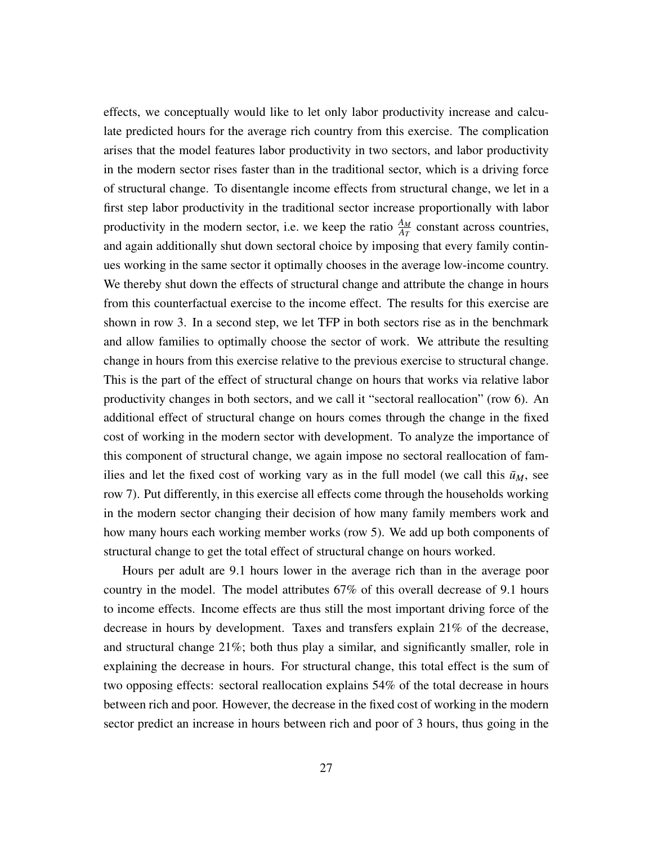effects, we conceptually would like to let only labor productivity increase and calculate predicted hours for the average rich country from this exercise. The complication arises that the model features labor productivity in two sectors, and labor productivity in the modern sector rises faster than in the traditional sector, which is a driving force of structural change. To disentangle income effects from structural change, we let in a first step labor productivity in the traditional sector increase proportionally with labor productivity in the modern sector, i.e. we keep the ratio  $\frac{A_M}{A_T}$  constant across countries, and again additionally shut down sectoral choice by imposing that every family continues working in the same sector it optimally chooses in the average low-income country. We thereby shut down the effects of structural change and attribute the change in hours from this counterfactual exercise to the income effect. The results for this exercise are shown in row 3. In a second step, we let TFP in both sectors rise as in the benchmark and allow families to optimally choose the sector of work. We attribute the resulting change in hours from this exercise relative to the previous exercise to structural change. This is the part of the effect of structural change on hours that works via relative labor productivity changes in both sectors, and we call it "sectoral reallocation" (row 6). An additional effect of structural change on hours comes through the change in the fixed cost of working in the modern sector with development. To analyze the importance of this component of structural change, we again impose no sectoral reallocation of families and let the fixed cost of working vary as in the full model (we call this  $\bar{u}_M$ , see row 7). Put differently, in this exercise all effects come through the households working in the modern sector changing their decision of how many family members work and how many hours each working member works (row 5). We add up both components of structural change to get the total effect of structural change on hours worked.

Hours per adult are 9.1 hours lower in the average rich than in the average poor country in the model. The model attributes 67% of this overall decrease of 9.1 hours to income effects. Income effects are thus still the most important driving force of the decrease in hours by development. Taxes and transfers explain 21% of the decrease, and structural change 21%; both thus play a similar, and significantly smaller, role in explaining the decrease in hours. For structural change, this total effect is the sum of two opposing effects: sectoral reallocation explains 54% of the total decrease in hours between rich and poor. However, the decrease in the fixed cost of working in the modern sector predict an increase in hours between rich and poor of 3 hours, thus going in the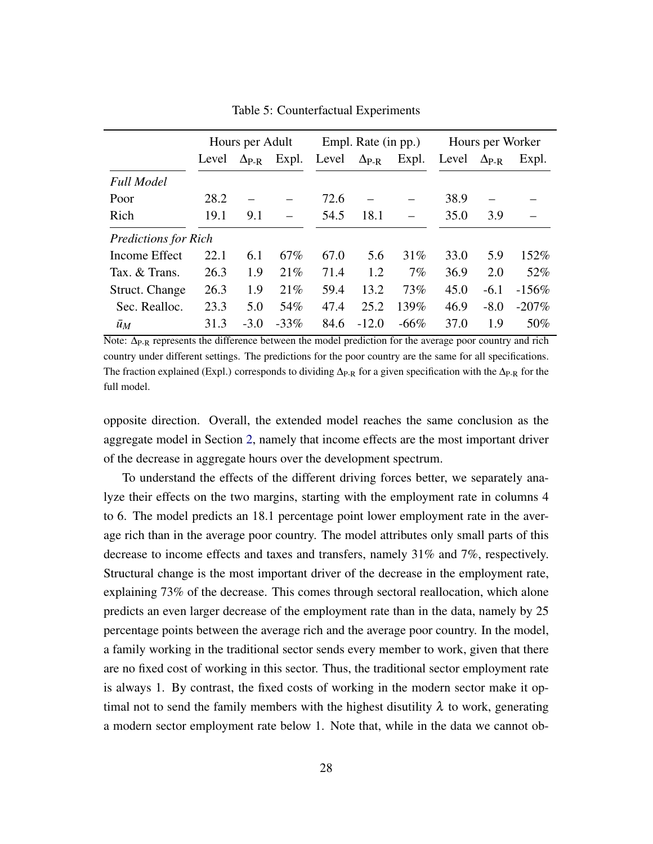<span id="page-28-0"></span>

|                             | Hours per Adult |                | Empl. Rate (in pp.) |       |                       | Hours per Worker |       |                       |          |
|-----------------------------|-----------------|----------------|---------------------|-------|-----------------------|------------------|-------|-----------------------|----------|
|                             | Level           | $\Delta_{P-R}$ | Expl.               | Level | $\Delta_{\text{P-R}}$ | Expl.            | Level | $\Delta_{\text{P-R}}$ | Expl.    |
| <b>Full Model</b>           |                 |                |                     |       |                       |                  |       |                       |          |
| Poor                        | 28.2            |                |                     | 72.6  |                       |                  | 38.9  |                       |          |
| Rich                        | 19.1            | 9.1            |                     | 54.5  | 18.1                  |                  | 35.0  | 3.9                   |          |
| <b>Predictions for Rich</b> |                 |                |                     |       |                       |                  |       |                       |          |
| Income Effect               | 22.1            | 6.1            | 67%                 | 67.0  | 5.6                   | 31%              | 33.0  | 5.9                   | 152%     |
| Tax. & Trans.               | 26.3            | 1.9            | 21%                 | 71.4  | 1.2                   | $7\%$            | 36.9  | 2.0                   | 52%      |
| Struct. Change              | 26.3            | 1.9            | 21%                 | 59.4  | 13.2                  | 73%              | 45.0  | $-6.1$                | $-156\%$ |
| Sec. Realloc.               | 23.3            | 5.0            | 54%                 | 47.4  | 25.2                  | 139%             | 46.9  | $-8.0$                | $-207\%$ |
| $\bar{u}_M$                 | 31.3            | $-3.0$         | $-33\%$             | 84.6  | $-12.0$               | $-66\%$          | 37.0  | 1.9                   | 50%      |

Table 5: Counterfactual Experiments

Note: Δ<sub>P-R</sub> represents the difference between the model prediction for the average poor country and rich country under different settings. The predictions for the poor country are the same for all specifications. The fraction explained (Expl.) corresponds to dividing  $\Delta_{P-R}$  for a given specification with the  $\Delta_{P-R}$  for the full model.

opposite direction. Overall, the extended model reaches the same conclusion as the aggregate model in Section [2,](#page-5-0) namely that income effects are the most important driver of the decrease in aggregate hours over the development spectrum.

To understand the effects of the different driving forces better, we separately analyze their effects on the two margins, starting with the employment rate in columns 4 to 6. The model predicts an 18.1 percentage point lower employment rate in the average rich than in the average poor country. The model attributes only small parts of this decrease to income effects and taxes and transfers, namely 31% and 7%, respectively. Structural change is the most important driver of the decrease in the employment rate, explaining 73% of the decrease. This comes through sectoral reallocation, which alone predicts an even larger decrease of the employment rate than in the data, namely by 25 percentage points between the average rich and the average poor country. In the model, a family working in the traditional sector sends every member to work, given that there are no fixed cost of working in this sector. Thus, the traditional sector employment rate is always 1. By contrast, the fixed costs of working in the modern sector make it optimal not to send the family members with the highest disutility  $\lambda$  to work, generating a modern sector employment rate below 1. Note that, while in the data we cannot ob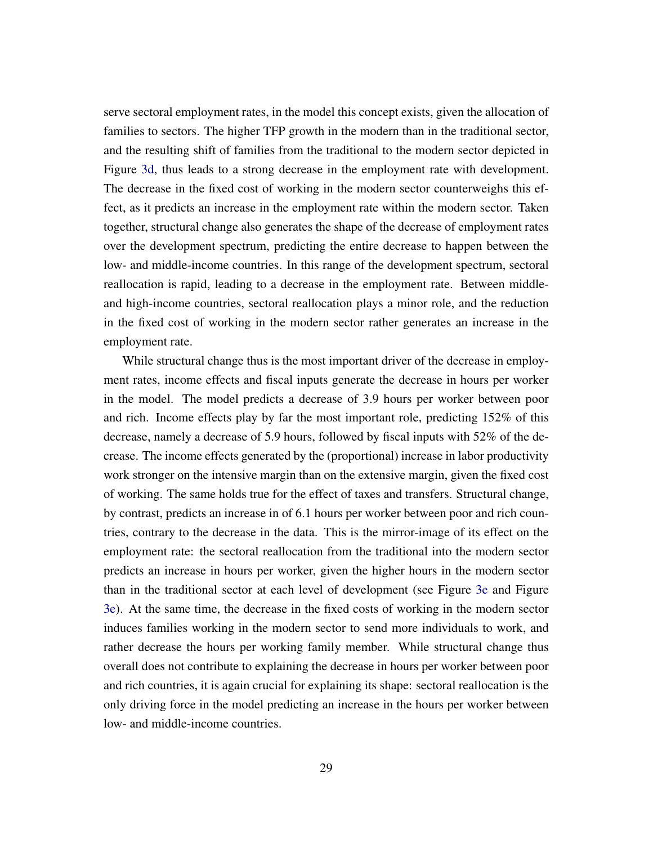serve sectoral employment rates, in the model this concept exists, given the allocation of families to sectors. The higher TFP growth in the modern than in the traditional sector, and the resulting shift of families from the traditional to the modern sector depicted in Figure [3d,](#page-24-0) thus leads to a strong decrease in the employment rate with development. The decrease in the fixed cost of working in the modern sector counterweighs this effect, as it predicts an increase in the employment rate within the modern sector. Taken together, structural change also generates the shape of the decrease of employment rates over the development spectrum, predicting the entire decrease to happen between the low- and middle-income countries. In this range of the development spectrum, sectoral reallocation is rapid, leading to a decrease in the employment rate. Between middleand high-income countries, sectoral reallocation plays a minor role, and the reduction in the fixed cost of working in the modern sector rather generates an increase in the employment rate.

While structural change thus is the most important driver of the decrease in employment rates, income effects and fiscal inputs generate the decrease in hours per worker in the model. The model predicts a decrease of 3.9 hours per worker between poor and rich. Income effects play by far the most important role, predicting 152% of this decrease, namely a decrease of 5.9 hours, followed by fiscal inputs with 52% of the decrease. The income effects generated by the (proportional) increase in labor productivity work stronger on the intensive margin than on the extensive margin, given the fixed cost of working. The same holds true for the effect of taxes and transfers. Structural change, by contrast, predicts an increase in of 6.1 hours per worker between poor and rich countries, contrary to the decrease in the data. This is the mirror-image of its effect on the employment rate: the sectoral reallocation from the traditional into the modern sector predicts an increase in hours per worker, given the higher hours in the modern sector than in the traditional sector at each level of development (see Figure [3e](#page-24-0) and Figure [3e\)](#page-24-0). At the same time, the decrease in the fixed costs of working in the modern sector induces families working in the modern sector to send more individuals to work, and rather decrease the hours per working family member. While structural change thus overall does not contribute to explaining the decrease in hours per worker between poor and rich countries, it is again crucial for explaining its shape: sectoral reallocation is the only driving force in the model predicting an increase in the hours per worker between low- and middle-income countries.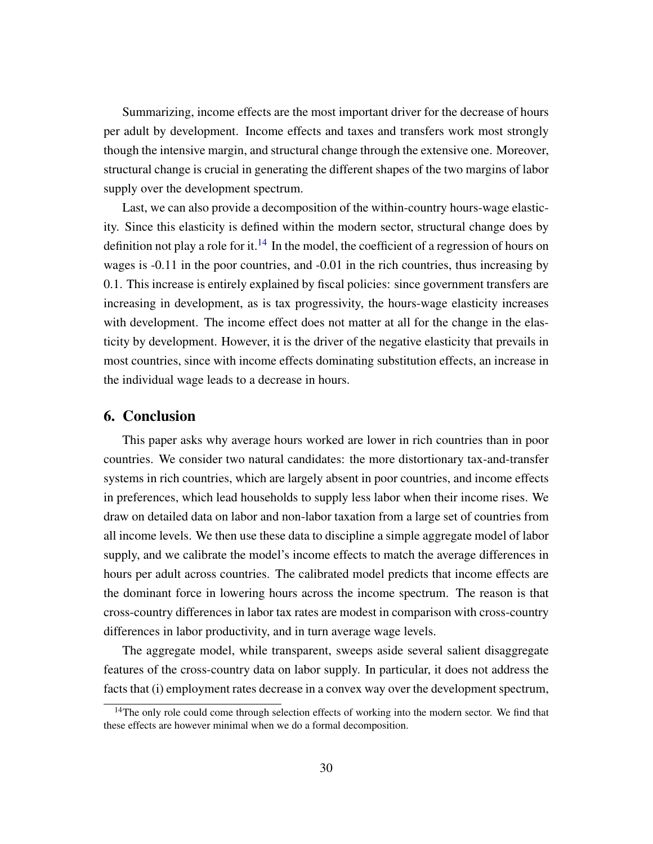Summarizing, income effects are the most important driver for the decrease of hours per adult by development. Income effects and taxes and transfers work most strongly though the intensive margin, and structural change through the extensive one. Moreover, structural change is crucial in generating the different shapes of the two margins of labor supply over the development spectrum.

Last, we can also provide a decomposition of the within-country hours-wage elasticity. Since this elasticity is defined within the modern sector, structural change does by definition not play a role for it.<sup>[14](#page-30-1)</sup> In the model, the coefficient of a regression of hours on wages is -0.11 in the poor countries, and -0.01 in the rich countries, thus increasing by 0.1. This increase is entirely explained by fiscal policies: since government transfers are increasing in development, as is tax progressivity, the hours-wage elasticity increases with development. The income effect does not matter at all for the change in the elasticity by development. However, it is the driver of the negative elasticity that prevails in most countries, since with income effects dominating substitution effects, an increase in the individual wage leads to a decrease in hours.

## <span id="page-30-0"></span>6. Conclusion

This paper asks why average hours worked are lower in rich countries than in poor countries. We consider two natural candidates: the more distortionary tax-and-transfer systems in rich countries, which are largely absent in poor countries, and income effects in preferences, which lead households to supply less labor when their income rises. We draw on detailed data on labor and non-labor taxation from a large set of countries from all income levels. We then use these data to discipline a simple aggregate model of labor supply, and we calibrate the model's income effects to match the average differences in hours per adult across countries. The calibrated model predicts that income effects are the dominant force in lowering hours across the income spectrum. The reason is that cross-country differences in labor tax rates are modest in comparison with cross-country differences in labor productivity, and in turn average wage levels.

The aggregate model, while transparent, sweeps aside several salient disaggregate features of the cross-country data on labor supply. In particular, it does not address the facts that (i) employment rates decrease in a convex way over the development spectrum,

<span id="page-30-1"></span><sup>&</sup>lt;sup>14</sup>The only role could come through selection effects of working into the modern sector. We find that these effects are however minimal when we do a formal decomposition.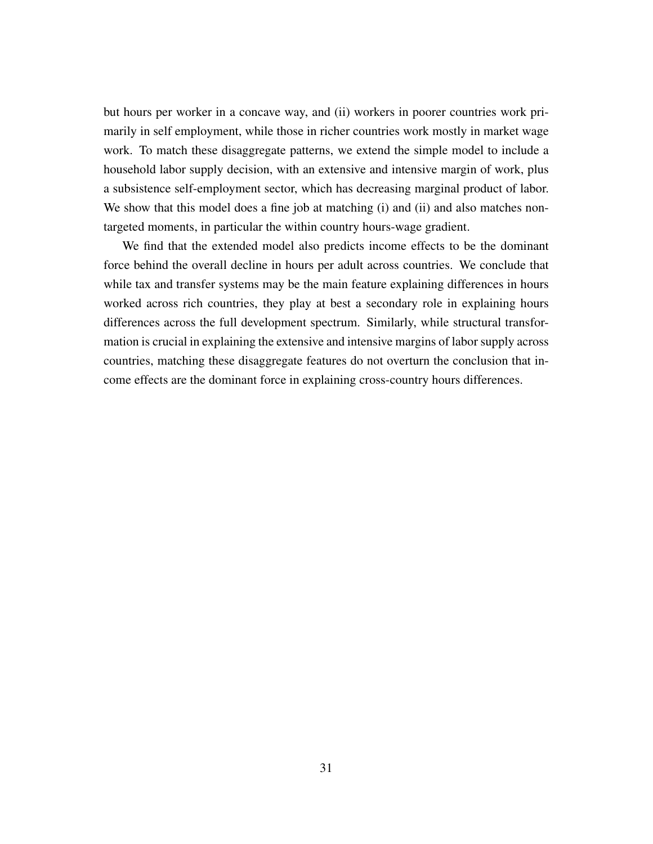but hours per worker in a concave way, and (ii) workers in poorer countries work primarily in self employment, while those in richer countries work mostly in market wage work. To match these disaggregate patterns, we extend the simple model to include a household labor supply decision, with an extensive and intensive margin of work, plus a subsistence self-employment sector, which has decreasing marginal product of labor. We show that this model does a fine job at matching (i) and (ii) and also matches nontargeted moments, in particular the within country hours-wage gradient.

We find that the extended model also predicts income effects to be the dominant force behind the overall decline in hours per adult across countries. We conclude that while tax and transfer systems may be the main feature explaining differences in hours worked across rich countries, they play at best a secondary role in explaining hours differences across the full development spectrum. Similarly, while structural transformation is crucial in explaining the extensive and intensive margins of labor supply across countries, matching these disaggregate features do not overturn the conclusion that income effects are the dominant force in explaining cross-country hours differences.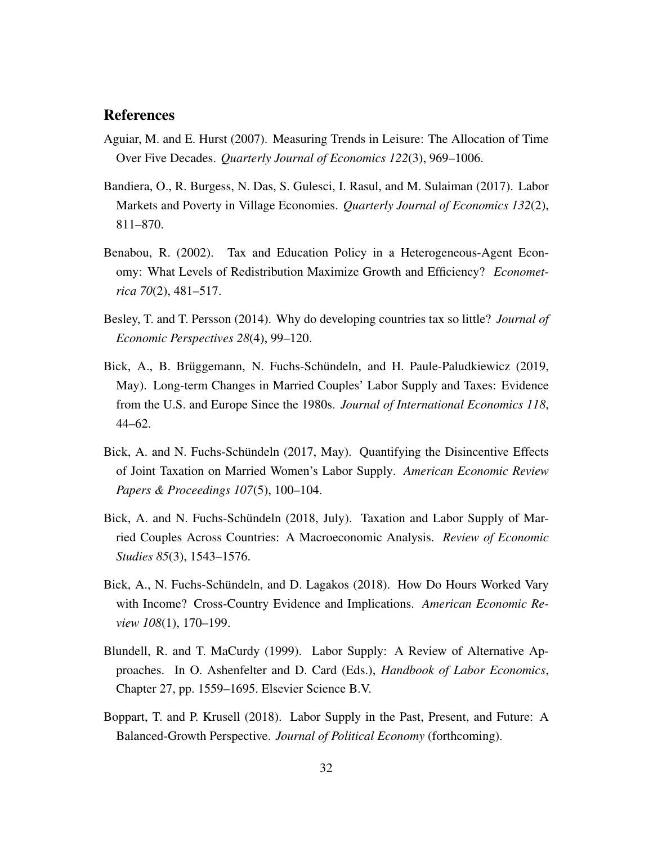# References

- <span id="page-32-7"></span>Aguiar, M. and E. Hurst (2007). Measuring Trends in Leisure: The Allocation of Time Over Five Decades. *Quarterly Journal of Economics 122*(3), 969–1006.
- <span id="page-32-6"></span>Bandiera, O., R. Burgess, N. Das, S. Gulesci, I. Rasul, and M. Sulaiman (2017). Labor Markets and Poverty in Village Economies. *Quarterly Journal of Economics 132*(2), 811–870.
- <span id="page-32-8"></span>Benabou, R. (2002). Tax and Education Policy in a Heterogeneous-Agent Economy: What Levels of Redistribution Maximize Growth and Efficiency? *Econometrica 70*(2), 481–517.
- <span id="page-32-2"></span>Besley, T. and T. Persson (2014). Why do developing countries tax so little? *Journal of Economic Perspectives 28*(4), 99–120.
- <span id="page-32-5"></span>Bick, A., B. Brüggemann, N. Fuchs-Schündeln, and H. Paule-Paludkiewicz (2019, May). Long-term Changes in Married Couples' Labor Supply and Taxes: Evidence from the U.S. and Europe Since the 1980s. *Journal of International Economics 118*, 44–62.
- <span id="page-32-3"></span>Bick, A. and N. Fuchs-Schündeln (2017, May). Quantifying the Disincentive Effects of Joint Taxation on Married Women's Labor Supply. *American Economic Review Papers & Proceedings 107*(5), 100–104.
- <span id="page-32-4"></span>Bick, A. and N. Fuchs-Schündeln (2018, July). Taxation and Labor Supply of Married Couples Across Countries: A Macroeconomic Analysis. *Review of Economic Studies 85*(3), 1543–1576.
- <span id="page-32-1"></span>Bick, A., N. Fuchs-Schündeln, and D. Lagakos (2018). How Do Hours Worked Vary with Income? Cross-Country Evidence and Implications. *American Economic Review 108*(1), 170–199.
- <span id="page-32-9"></span>Blundell, R. and T. MaCurdy (1999). Labor Supply: A Review of Alternative Approaches. In O. Ashenfelter and D. Card (Eds.), *Handbook of Labor Economics*, Chapter 27, pp. 1559–1695. Elsevier Science B.V.
- <span id="page-32-0"></span>Boppart, T. and P. Krusell (2018). Labor Supply in the Past, Present, and Future: A Balanced-Growth Perspective. *Journal of Political Economy* (forthcoming).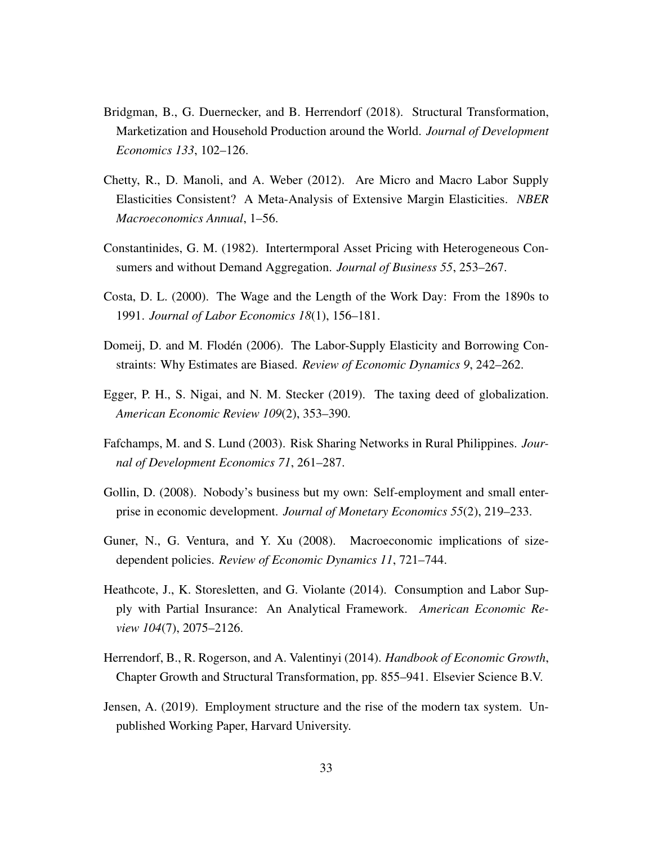- <span id="page-33-3"></span>Bridgman, B., G. Duernecker, and B. Herrendorf (2018). Structural Transformation, Marketization and Household Production around the World. *Journal of Development Economics 133*, 102–126.
- <span id="page-33-6"></span>Chetty, R., D. Manoli, and A. Weber (2012). Are Micro and Macro Labor Supply Elasticities Consistent? A Meta-Analysis of Extensive Margin Elasticities. *NBER Macroeconomics Annual*, 1–56.
- <span id="page-33-9"></span>Constantinides, G. M. (1982). Intertermporal Asset Pricing with Heterogeneous Consumers and without Demand Aggregation. *Journal of Business 55*, 253–267.
- <span id="page-33-5"></span>Costa, D. L. (2000). The Wage and the Length of the Work Day: From the 1890s to 1991. *Journal of Labor Economics 18*(1), 156–181.
- <span id="page-33-11"></span>Domeij, D. and M. Flodén (2006). The Labor-Supply Elasticity and Borrowing Constraints: Why Estimates are Biased. *Review of Economic Dynamics 9*, 242–262.
- <span id="page-33-1"></span>Egger, P. H., S. Nigai, and N. M. Stecker (2019). The taxing deed of globalization. *American Economic Review 109*(2), 353–390.
- <span id="page-33-8"></span>Fafchamps, M. and S. Lund (2003). Risk Sharing Networks in Rural Philippines. *Journal of Development Economics 71*, 261–287.
- <span id="page-33-2"></span>Gollin, D. (2008). Nobody's business but my own: Self-employment and small enterprise in economic development. *Journal of Monetary Economics 55*(2), 219–233.
- <span id="page-33-10"></span>Guner, N., G. Ventura, and Y. Xu (2008). Macroeconomic implications of sizedependent policies. *Review of Economic Dynamics 11*, 721–744.
- <span id="page-33-7"></span>Heathcote, J., K. Storesletten, and G. Violante (2014). Consumption and Labor Supply with Partial Insurance: An Analytical Framework. *American Economic Review 104*(7), 2075–2126.
- <span id="page-33-4"></span>Herrendorf, B., R. Rogerson, and A. Valentinyi (2014). *Handbook of Economic Growth*, Chapter Growth and Structural Transformation, pp. 855–941. Elsevier Science B.V.
- <span id="page-33-0"></span>Jensen, A. (2019). Employment structure and the rise of the modern tax system. Unpublished Working Paper, Harvard University.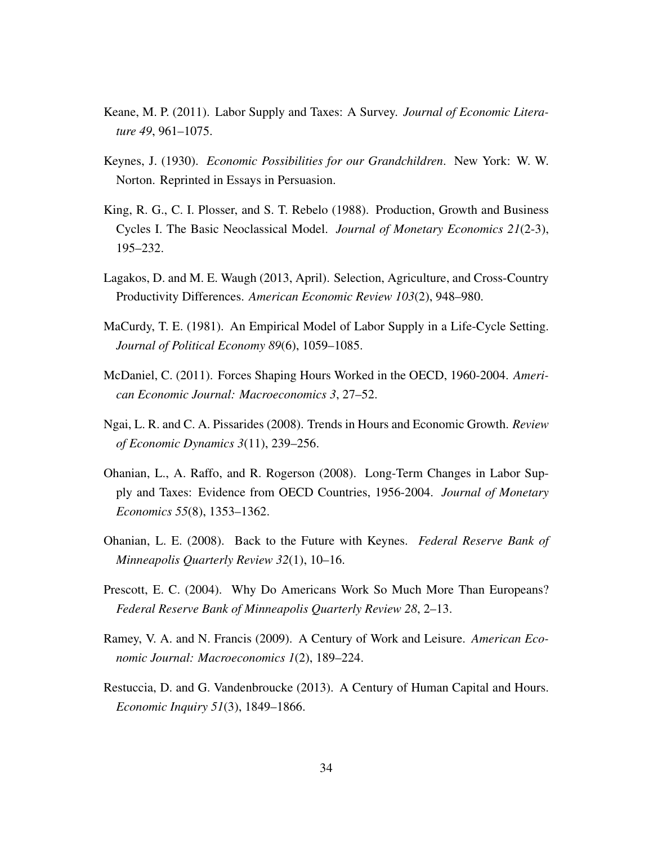- <span id="page-34-8"></span>Keane, M. P. (2011). Labor Supply and Taxes: A Survey. *Journal of Economic Literature 49*, 961–1075.
- <span id="page-34-2"></span>Keynes, J. (1930). *Economic Possibilities for our Grandchildren*. New York: W. W. Norton. Reprinted in Essays in Persuasion.
- <span id="page-34-9"></span>King, R. G., C. I. Plosser, and S. T. Rebelo (1988). Production, Growth and Business Cycles I. The Basic Neoclassical Model. *Journal of Monetary Economics 21*(2-3), 195–232.
- <span id="page-34-11"></span>Lagakos, D. and M. E. Waugh (2013, April). Selection, Agriculture, and Cross-Country Productivity Differences. *American Economic Review 103*(2), 948–980.
- <span id="page-34-7"></span>MaCurdy, T. E. (1981). An Empirical Model of Labor Supply in a Life-Cycle Setting. *Journal of Political Economy 89*(6), 1059–1085.
- <span id="page-34-6"></span>McDaniel, C. (2011). Forces Shaping Hours Worked in the OECD, 1960-2004. *American Economic Journal: Macroeconomics 3*, 27–52.
- <span id="page-34-10"></span>Ngai, L. R. and C. A. Pissarides (2008). Trends in Hours and Economic Growth. *Review of Economic Dynamics 3*(11), 239–256.
- <span id="page-34-1"></span>Ohanian, L., A. Raffo, and R. Rogerson (2008). Long-Term Changes in Labor Supply and Taxes: Evidence from OECD Countries, 1956-2004. *Journal of Monetary Economics 55*(8), 1353–1362.
- <span id="page-34-3"></span>Ohanian, L. E. (2008). Back to the Future with Keynes. *Federal Reserve Bank of Minneapolis Quarterly Review 32*(1), 10–16.
- <span id="page-34-5"></span>Prescott, E. C. (2004). Why Do Americans Work So Much More Than Europeans? *Federal Reserve Bank of Minneapolis Quarterly Review 28*, 2–13.
- <span id="page-34-0"></span>Ramey, V. A. and N. Francis (2009). A Century of Work and Leisure. *American Economic Journal: Macroeconomics 1*(2), 189–224.
- <span id="page-34-4"></span>Restuccia, D. and G. Vandenbroucke (2013). A Century of Human Capital and Hours. *Economic Inquiry 51*(3), 1849–1866.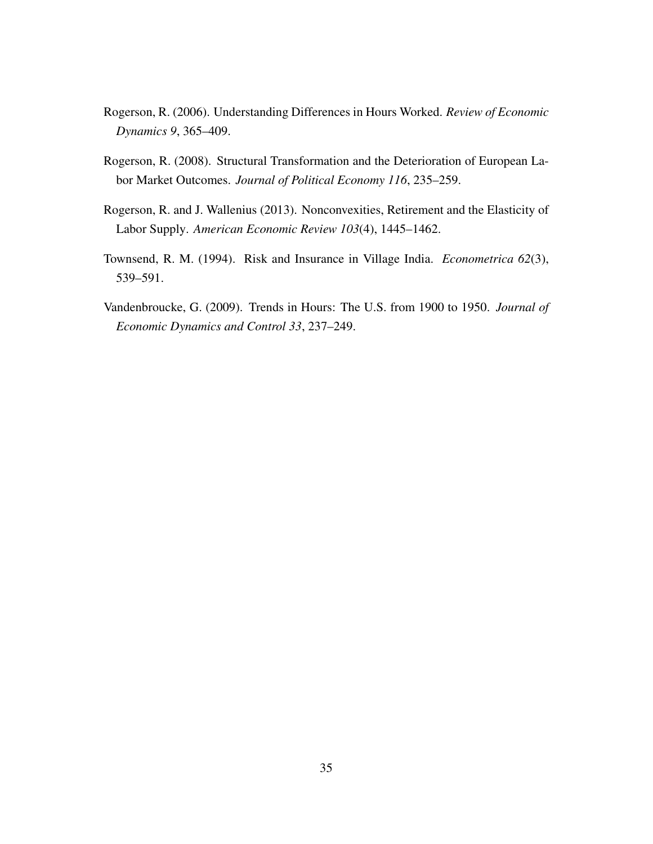- <span id="page-35-0"></span>Rogerson, R. (2006). Understanding Differences in Hours Worked. *Review of Economic Dynamics 9*, 365–409.
- <span id="page-35-1"></span>Rogerson, R. (2008). Structural Transformation and the Deterioration of European Labor Market Outcomes. *Journal of Political Economy 116*, 235–259.
- <span id="page-35-2"></span>Rogerson, R. and J. Wallenius (2013). Nonconvexities, Retirement and the Elasticity of Labor Supply. *American Economic Review 103*(4), 1445–1462.
- <span id="page-35-4"></span>Townsend, R. M. (1994). Risk and Insurance in Village India. *Econometrica 62*(3), 539–591.
- <span id="page-35-3"></span>Vandenbroucke, G. (2009). Trends in Hours: The U.S. from 1900 to 1950. *Journal of Economic Dynamics and Control 33*, 237–249.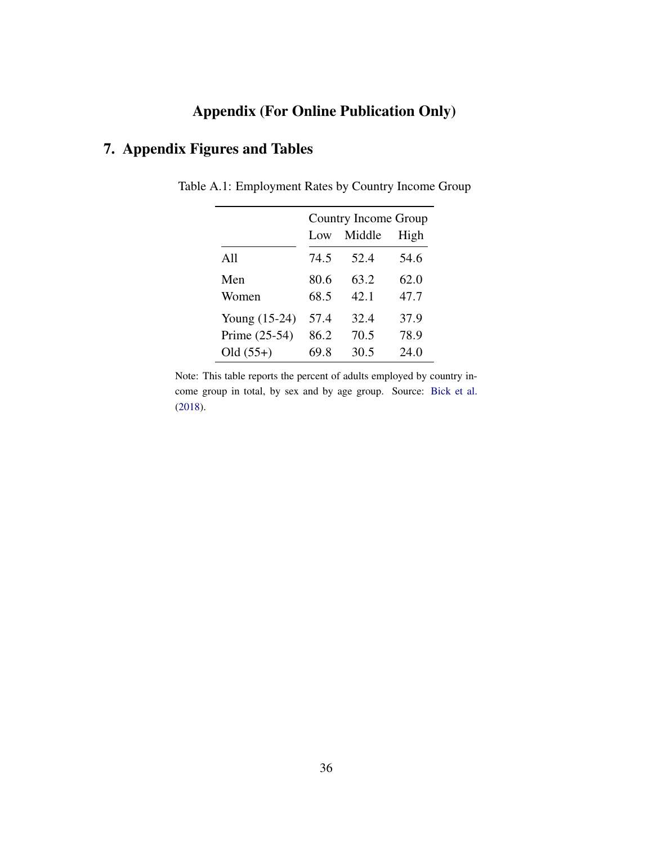# Appendix (For Online Publication Only)

# <span id="page-36-0"></span>7. Appendix Figures and Tables

|               | Country Income Group |        |      |  |
|---------------|----------------------|--------|------|--|
|               | Low                  | Middle | High |  |
| All           | 74.5                 | 52.4   | 54.6 |  |
| Men           | 80.6                 | 63.2   | 62.0 |  |
| Women         | 68.5                 | 42.1   | 47.7 |  |
| Young (15-24) | 57.4                 | 32.4   | 37.9 |  |
| Prime (25-54) | 86.2                 | 70.5   | 78.9 |  |
| $Old (55+)$   | 69.8                 | 30.5   | 24.0 |  |

Table A.1: Employment Rates by Country Income Group

Note: This table reports the percent of adults employed by country income group in total, by sex and by age group. Source: [Bick et al.](#page-32-1) [\(2018\)](#page-32-1).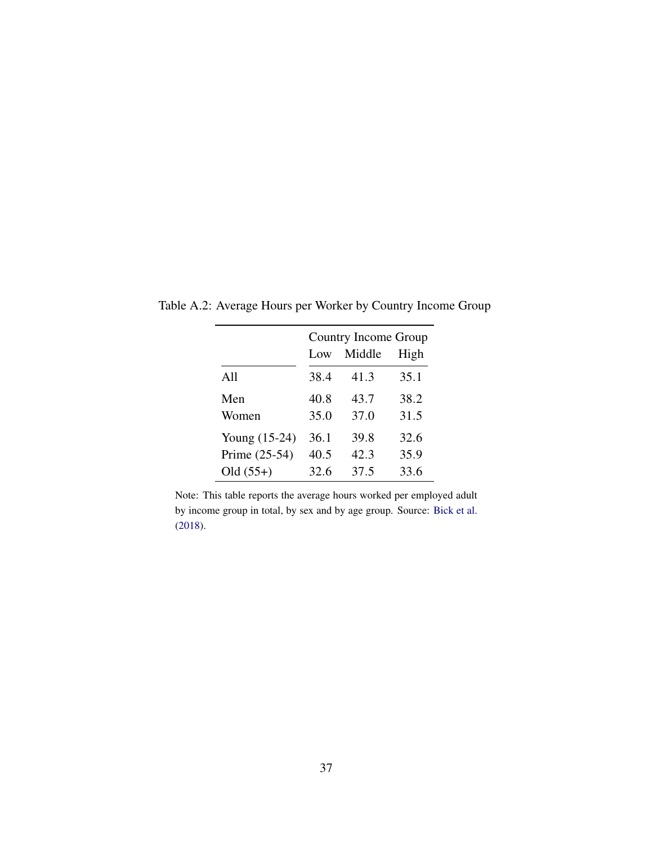|                 | Country Income Group  |      |      |  |  |
|-----------------|-----------------------|------|------|--|--|
|                 | Middle<br>High<br>Low |      |      |  |  |
| All             | 38.4                  | 41.3 | 35.1 |  |  |
| Men             | 40.8                  | 43.7 | 38.2 |  |  |
| Women           | 35.0                  | 37.0 | 31.5 |  |  |
| Young $(15-24)$ | 36.1                  | 39.8 | 32.6 |  |  |
| Prime (25-54)   | 40.5                  | 42.3 | 35.9 |  |  |
| $Old (55+)$     | 32.6                  | 37.5 | 33.6 |  |  |

<span id="page-37-0"></span>Table A.2: Average Hours per Worker by Country Income Group

Note: This table reports the average hours worked per employed adult by income group in total, by sex and by age group. Source: [Bick et al.](#page-32-1) [\(2018\)](#page-32-1).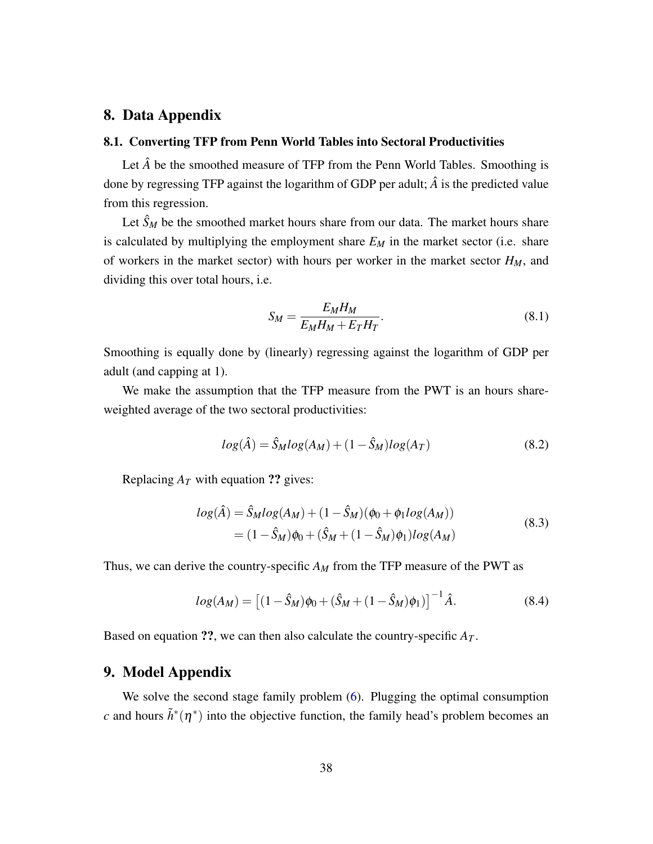# 8. Data Appendix

#### 8.1. Converting TFP from Penn World Tables into Sectoral Productivities

Let  $\hat{A}$  be the smoothed measure of TFP from the Penn World Tables. Smoothing is done by regressing TFP against the logarithm of GDP per adult;  $\hat{A}$  is the predicted value from this regression.

Let  $\hat{S}_M$  be the smoothed market hours share from our data. The market hours share is calculated by multiplying the employment share  $E_M$  in the market sector (i.e. share of workers in the market sector) with hours per worker in the market sector *HM*, and dividing this over total hours, i.e.

$$
S_M = \frac{E_M H_M}{E_M H_M + E_T H_T}.\tag{8.1}
$$

Smoothing is equally done by (linearly) regressing against the logarithm of GDP per adult (and capping at 1).

We make the assumption that the TFP measure from the PWT is an hours shareweighted average of the two sectoral productivities:

$$
log(\hat{A}) = \hat{S}_M log(A_M) + (1 - \hat{S}_M) log(A_T)
$$
\n(8.2)

Replacing  $A_T$  with equation ?? gives:

$$
log(\hat{A}) = \hat{S}_{M} log(A_{M}) + (1 - \hat{S}_{M})(\phi_{0} + \phi_{1} log(A_{M}))
$$
  
=  $(1 - \hat{S}_{M})\phi_{0} + (\hat{S}_{M} + (1 - \hat{S}_{M})\phi_{1})log(A_{M})$  (8.3)

Thus, we can derive the country-specific  $A_M$  from the TFP measure of the PWT as

$$
log(A_M) = [(1 - \hat{S}_M)\phi_0 + (\hat{S}_M + (1 - \hat{S}_M)\phi_1)]^{-1}\hat{A}.
$$
 (8.4)

Based on equation ??, we can then also calculate the country-specific  $A_T$ .

# <span id="page-38-0"></span>9. Model Appendix

We solve the second stage family problem [\(6\)](#page-17-0). Plugging the optimal consumption *c* and hours  $\tilde{h}^*(\eta^*)$  into the objective function, the family head's problem becomes an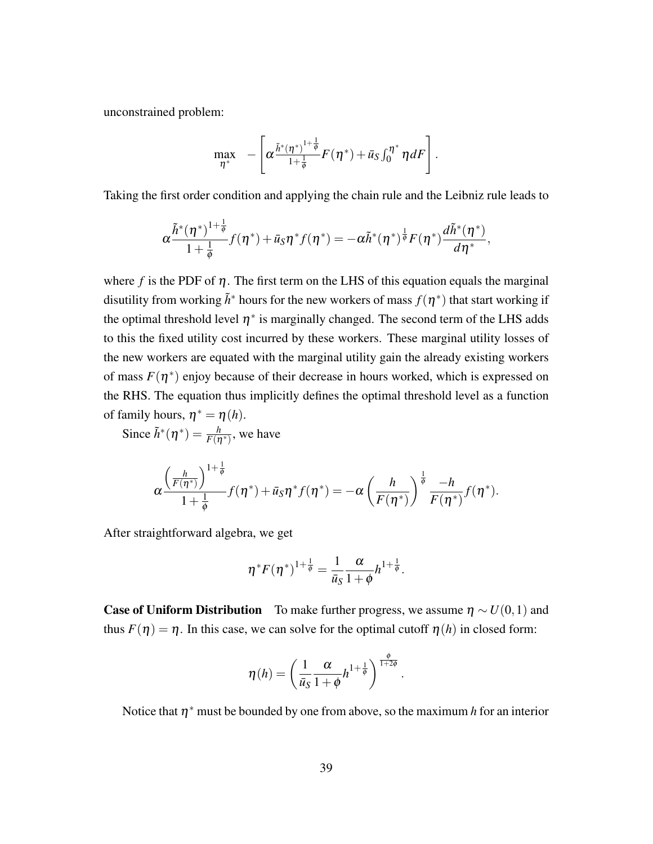unconstrained problem:

$$
\max_{\eta^*} \quad -\left[\alpha \frac{\tilde{h}^*(\eta^*)^{1+\frac{1}{\phi}}}{1+\frac{1}{\phi}}F(\eta^*) + \bar{u}_S\int_0^{\eta^*}\eta dF\right].
$$

Taking the first order condition and applying the chain rule and the Leibniz rule leads to

$$
\alpha\frac{\tilde{h}^*(\eta^*)^{1+\frac{1}{\phi}}}{1+\frac{1}{\phi}}f(\eta^*)+\bar{u}_S\eta^*f(\eta^*)=-\alpha\tilde{h}^*(\eta^*)^{\frac{1}{\phi}}F(\eta^*)\frac{d\tilde{h}^*(\eta^*)}{d\eta^*},
$$

where  $f$  is the PDF of  $\eta$ . The first term on the LHS of this equation equals the marginal disutility from working  $\tilde{h}^*$  hours for the new workers of mass  $f(\boldsymbol{\eta}^*)$  that start working if the optimal threshold level  $\eta^*$  is marginally changed. The second term of the LHS adds to this the fixed utility cost incurred by these workers. These marginal utility losses of the new workers are equated with the marginal utility gain the already existing workers of mass  $F(\eta^*)$  enjoy because of their decrease in hours worked, which is expressed on the RHS. The equation thus implicitly defines the optimal threshold level as a function of family hours,  $\eta^* = \eta(h)$ .

Since  $\tilde{h}^*(\eta^*) = \frac{h}{F(\eta^*)}$ , we have

$$
\alpha \frac{\left(\frac{h}{F(\eta^*)}\right)^{1+\frac{1}{\phi}}}{1+\frac{1}{\phi}} f(\eta^*) + \bar{u}_S \eta^* f(\eta^*) = -\alpha \left(\frac{h}{F(\eta^*)}\right)^{\frac{1}{\phi}} \frac{-h}{F(\eta^*)} f(\eta^*).
$$

After straightforward algebra, we get

$$
\eta^* F(\eta^*)^{1+\frac{1}{\phi}} = \frac{1}{\bar{u}_S} \frac{\alpha}{1+\phi} h^{1+\frac{1}{\phi}}.
$$

**Case of Uniform Distribution** To make further progress, we assume  $\eta \sim U(0,1)$  and thus  $F(\eta) = \eta$ . In this case, we can solve for the optimal cutoff  $\eta(h)$  in closed form:

$$
\eta(h) = \left(\frac{1}{\bar{u}_S} \frac{\alpha}{1+\phi} h^{1+\frac{1}{\phi}}\right)^{\frac{\phi}{1+2\phi}}
$$

Notice that  $\eta^*$  must be bounded by one from above, so the maximum *h* for an interior

.